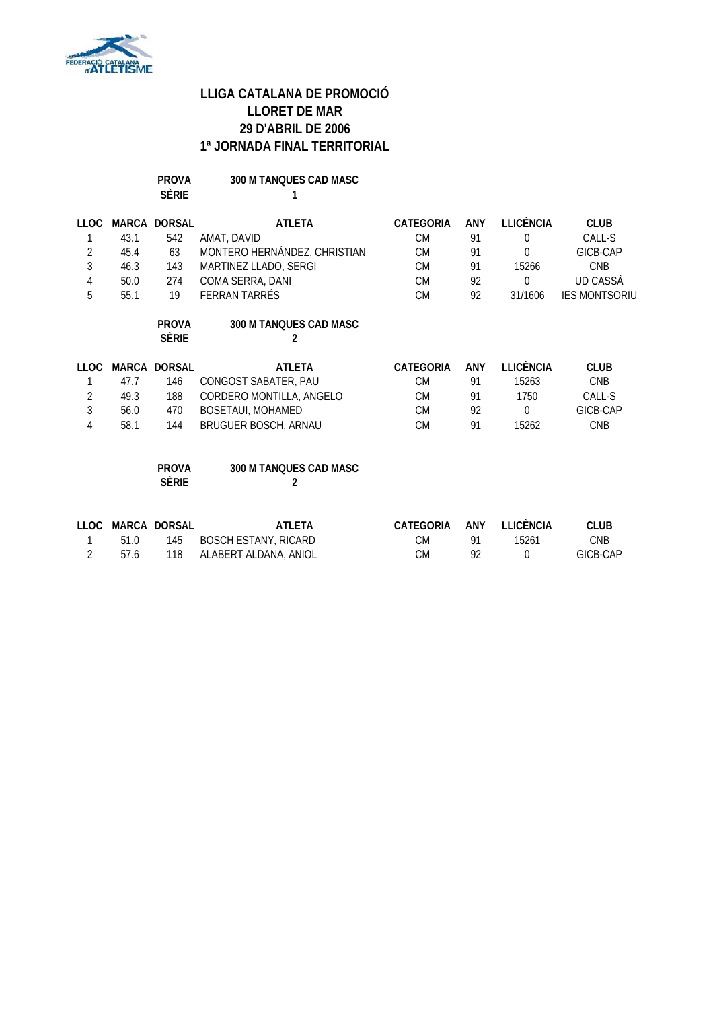

**PROVA 300 M TANQUES CAD MASC SÈRIE 1**

| <b>LLOC</b>                        | MARCA        | <b>DORSAL</b>                | <b>ATLETA</b>                                                         | <b>CATEGORIA</b>                           | ANY                    | LLICÈNCIA                                   | <b>CLUB</b>                           |
|------------------------------------|--------------|------------------------------|-----------------------------------------------------------------------|--------------------------------------------|------------------------|---------------------------------------------|---------------------------------------|
| 1                                  | 43.1         | 542                          | AMAT, DAVID                                                           | <b>CM</b>                                  | 91                     | $\Omega$                                    | CALL-S                                |
| $\overline{2}$                     | 45.4         | 63                           | MONTERO HERNÁNDEZ, CHRISTIAN                                          | <b>CM</b>                                  | 91                     | $\Omega$                                    | GICB-CAP                              |
| 3                                  | 46.3         | 143                          | MARTINEZ LLADO, SERGI                                                 | <b>CM</b>                                  | 91                     | 15266                                       | <b>CNB</b>                            |
| 4                                  | 50.0         | 274                          | COMA SERRA, DANI                                                      | <b>CM</b>                                  | 92                     | $\boldsymbol{0}$                            | UD CASSA                              |
| 5                                  | 55.1         | 19                           | <b>FERRAN TARRÉS</b>                                                  | <b>CM</b>                                  | 92                     | 31/1606                                     | <b>IES MONTSORIU</b>                  |
|                                    |              | <b>PROVA</b><br><b>SÈRIE</b> | 300 M TANQUES CAD MASC<br>2                                           |                                            |                        |                                             |                                       |
| <b>LLOC</b>                        |              | <b>MARCA DORSAL</b>          | <b>ATLETA</b>                                                         | <b>CATEGORIA</b>                           | ANY                    | <b>LLICÈNCIA</b>                            | <b>CLUB</b>                           |
| 1                                  | 47.7         | 146                          | CONGOST SABATER, PAU                                                  | <b>CM</b>                                  | 91                     | 15263                                       | <b>CNB</b>                            |
| $\overline{2}$                     | 49.3         | 188                          | CORDERO MONTILLA, ANGELO                                              | <b>CM</b>                                  | 91                     | 1750                                        | CALL-S                                |
| $\mathfrak{Z}$                     | 56.0         | 470                          | BOSETAUI, MOHAMED                                                     | <b>CM</b>                                  | 92                     | $\overline{0}$                              | GICB-CAP                              |
| 4                                  | 58.1         | 144                          | BRUGUER BOSCH, ARNAU                                                  | <b>CM</b>                                  | 91                     | 15262                                       | <b>CNB</b>                            |
|                                    |              | <b>PROVA</b><br><b>SÈRIE</b> | <b>300 M TANQUES CAD MASC</b><br>2                                    |                                            |                        |                                             |                                       |
| <b>LLOC</b><br>1<br>$\overline{2}$ | 51.0<br>57.6 | MARCA DORSAL<br>145<br>118   | <b>ATLETA</b><br><b>BOSCH ESTANY, RICARD</b><br>ALABERT ALDANA, ANIOL | <b>CATEGORIA</b><br><b>CM</b><br><b>CM</b> | <b>ANY</b><br>91<br>92 | <b>LLICÈNCIA</b><br>15261<br>$\overline{0}$ | <b>CLUB</b><br><b>CNB</b><br>GICB-CAP |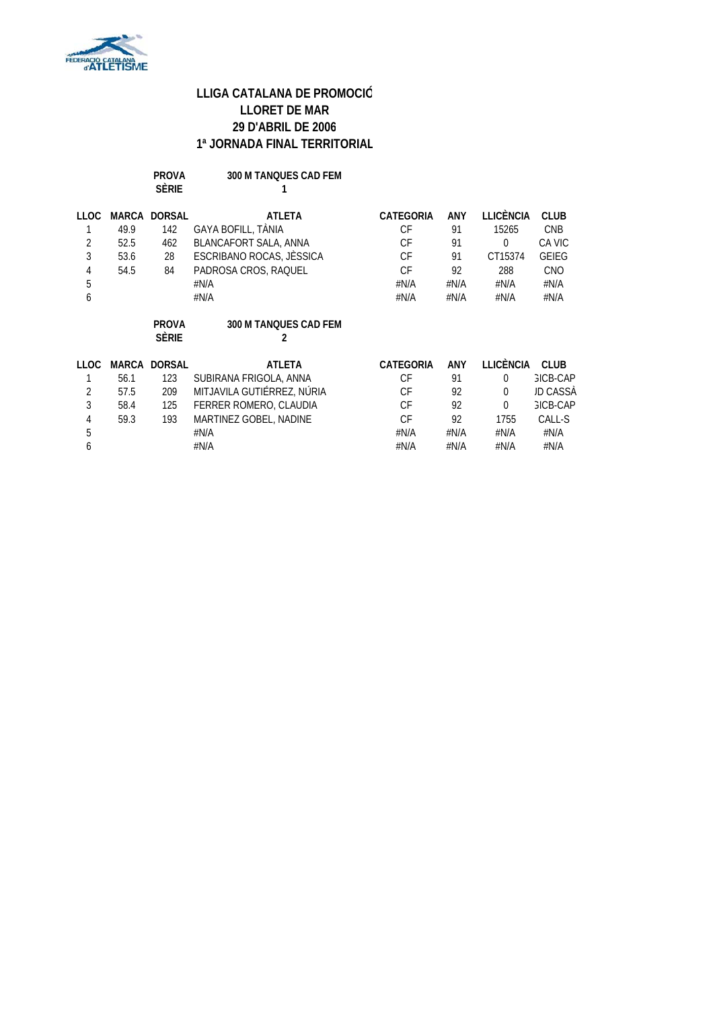

| <b>PROVA</b> | 300 M TANOUES CAD FEM |
|--------------|-----------------------|
| <b>SÈRIE</b> |                       |

| LLOC        |       | <b>MARCA DORSAL</b> | <b>ATLETA</b>                | <b>CATEGORIA</b> | ANY        | LLICÈNCIA        | <b>CLUB</b>     |
|-------------|-------|---------------------|------------------------------|------------------|------------|------------------|-----------------|
|             | 49.9  | 142                 | GAYA BOFILL, TANIA           | CF               | 91         | 15265            | <b>CNB</b>      |
| 2           | 52.5  | 462                 | BLANCAFORT SALA, ANNA        | CF               | 91         | 0                | CA VIC          |
| 3           | 53.6  | 28                  | ESCRIBANO ROCAS, JÈSSICA     | CF               | 91         | CT15374          | <b>GEIEG</b>    |
| 4           | 54.5  | 84                  | PADROSA CROS, RAQUEL         | CF               | 92         | 288              | <b>CNO</b>      |
| 5           |       |                     | #N/A                         | #N/A             | # $N/A$    | #N/A             | #N/A            |
| 6           |       |                     | #N/A                         | #N/A             | # $N/A$    | #N/A             | #N/A            |
|             |       | <b>PROVA</b>        | <b>300 M TANOUES CAD FEM</b> |                  |            |                  |                 |
|             |       | <b>SÈRIE</b>        | 2                            |                  |            |                  |                 |
| <b>LLOC</b> | MARCA | <b>DORSAL</b>       | <b>ATLETA</b>                | <b>CATEGORIA</b> | <b>ANY</b> | <b>LLICÈNCIA</b> | <b>CLUB</b>     |
|             | 56.1  | 123                 | SUBIRANA FRIGOLA, ANNA       | <b>CF</b>        | 91         | 0                | <b>GICB-CAP</b> |
| 2           | 57.5  | 209                 | MITJAVILA GUTIÉRREZ, NÚRIA   | CF               | 92         | $\Omega$         | JD CASSÀ        |
| 3           | 58.4  | 125                 | FERRER ROMERO, CLAUDIA       | СF               | 92         | $\Omega$         | <b>GICB-CAP</b> |
| 4           | 59.3  | 193                 | MARTINEZ GOBEL, NADINE       | СF               | 92         | 1755             | CALL-S          |
| 5           |       |                     | #N/A                         | #N/A             | #N/A       | #N/A             | #N/A            |
| 6           |       |                     | #N/A                         | #N/A             | #N/A       | #N/A             | #N/A            |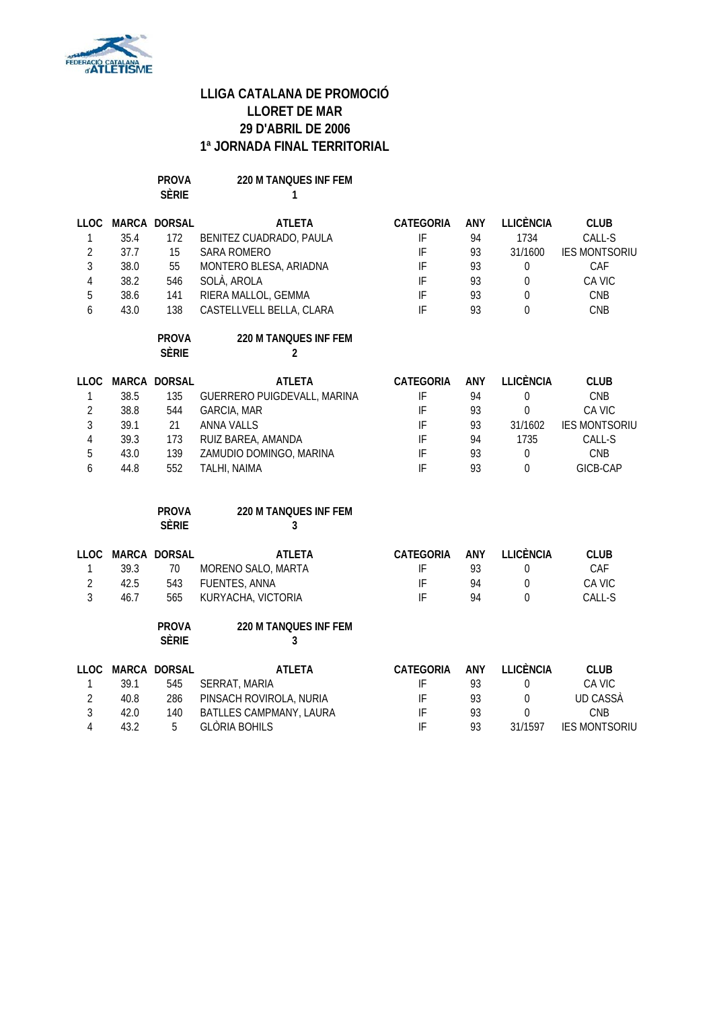

**PROVA 220 M TANQUES INF FEM SÈRIE 1**

| <b>LLOC</b>    |      | MARCA DORSAL                 | <b>ATLETA</b>                           | <b>CATEGORIA</b> | ANY        | <b>LLICÈNCIA</b> | <b>CLUB</b>          |
|----------------|------|------------------------------|-----------------------------------------|------------------|------------|------------------|----------------------|
| $\mathbf{1}$   | 35.4 | 172                          | BENITEZ CUADRADO, PAULA                 | IF               | 94         | 1734             | CALL-S               |
| $\overline{2}$ | 37.7 | 15                           | <b>SARA ROMERO</b>                      | IF               | 93         | 31/1600          | <b>IES MONTSORIU</b> |
| $\overline{3}$ | 38.0 | 55                           | MONTERO BLESA, ARIADNA                  | IF               | 93         | 0                | CAF                  |
| $\overline{4}$ | 38.2 | 546                          | SOLÀ, AROLA                             | IF               | 93         | $\boldsymbol{0}$ | CA VIC               |
| 5              | 38.6 | 141                          | RIERA MALLOL, GEMMA                     | IF               | 93         | $\mathbf 0$      | CNB                  |
| 6              | 43.0 | 138                          | CASTELLVELL BELLA, CLARA                | IF               | 93         | $\theta$         | CNB                  |
|                |      | <b>PROVA</b><br><b>SÈRIE</b> | 220 M TANQUES INF FEM<br>$\overline{2}$ |                  |            |                  |                      |
| <b>LLOC</b>    |      | MARCA DORSAL                 | <b>ATLETA</b>                           | <b>CATEGORIA</b> | ANY        | <b>LLICÈNCIA</b> | <b>CLUB</b>          |
| 1              | 38.5 | 135                          | GUERRERO PUIGDEVALL, MARINA             | IF               | 94         | $\boldsymbol{0}$ | CNB                  |
| $\overline{2}$ | 38.8 | 544                          | GARCIA, MAR                             | IF               | 93         | $\boldsymbol{0}$ | CA VIC               |
| $\overline{3}$ | 39.1 | 21                           | <b>ANNA VALLS</b>                       | IF               | 93         | 31/1602          | <b>IES MONTSORIU</b> |
| $\overline{4}$ | 39.3 | 173                          | RUIZ BAREA, AMANDA                      | IF               | 94         | 1735             | CALL-S               |
| 5              | 43.0 | 139                          | ZAMUDIO DOMINGO, MARINA                 | IF               | 93         | 0                | CNB                  |
| 6              | 44.8 | 552                          | TALHI, NAIMA                            | IF               | 93         | $\theta$         | GICB-CAP             |
|                |      | <b>PROVA</b><br><b>SÈRIE</b> | 220 M TANQUES INF FEM<br>3              |                  |            |                  |                      |
| <b>LLOC</b>    |      | MARCA DORSAL                 | <b>ATLETA</b>                           | <b>CATEGORIA</b> | ANY        | <b>LLICÈNCIA</b> | <b>CLUB</b>          |
| 1              | 39.3 | 70                           | MORENO SALO, MARTA                      | IF               | 93         | $\boldsymbol{0}$ | CAF                  |
| $\overline{2}$ | 42.5 | 543                          | FUENTES, ANNA                           | IF               | 94         | $\boldsymbol{0}$ | CA VIC               |
| $\overline{3}$ | 46.7 | 565                          | KURYACHA, VICTORIA                      | IF               | 94         | $\theta$         | CALL-S               |
|                |      | <b>PROVA</b><br><b>SÈRIE</b> | 220 M TANQUES INF FEM<br>3              |                  |            |                  |                      |
| <b>LLOC</b>    |      | MARCA DORSAL                 | <b>ATLETA</b>                           | <b>CATEGORIA</b> | <b>ANY</b> | <b>LLICÈNCIA</b> | <b>CLUB</b>          |
| 1              | 39.1 | 545                          | SERRAT, MARIA                           | IF               | 93         | $\boldsymbol{0}$ | CA VIC               |
| $\overline{2}$ | 40.8 | 286                          | PINSACH ROVIROLA, NURIA                 | IF               | 93         | $\boldsymbol{0}$ | <b>UD CASSÀ</b>      |
| $\overline{3}$ | 42.0 | 140                          | BATLLES CAMPMANY, LAURA                 | IF               | 93         | $\boldsymbol{0}$ | CNB                  |
| 4              | 43.2 | 5                            | <b>GLÒRIA BOHILS</b>                    | IF               | 93         | 31/1597          | <b>IES MONTSORIU</b> |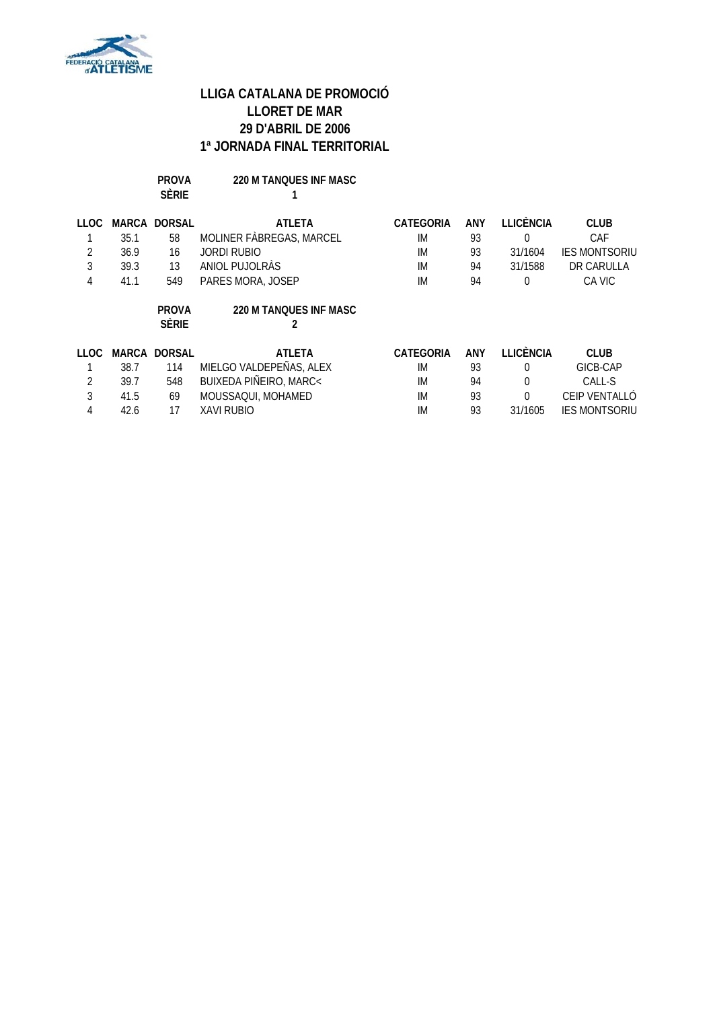

| PROVA        | <b>220 M TANOUES INF MASC</b> |
|--------------|-------------------------------|
| <b>SÈRIE</b> |                               |

| LLOC.<br>2<br>3 | 35.1<br>36.9<br>39.3 | <b>MARCA DORSAL</b><br>58<br>16<br>13 | <b>ATLETA</b><br>MOLINER FÀBREGAS, MARCEL<br><b>JORDI RUBIO</b><br>ANIOL PUJOLRÀS | <b>CATEGORIA</b><br>IM<br>IM<br>IM | <b>ANY</b><br>93<br>93<br>94 | LLICÈNCIA<br>0<br>31/1604<br>31/1588 | <b>CLUB</b><br>CAF<br><b>IES MONTSORIU</b><br>DR CARULLA |
|-----------------|----------------------|---------------------------------------|-----------------------------------------------------------------------------------|------------------------------------|------------------------------|--------------------------------------|----------------------------------------------------------|
| 4               | 41.1                 | 549                                   | PARES MORA, JOSEP                                                                 | IM                                 | 94                           | 0                                    | CA VIC                                                   |
|                 |                      | <b>PROVA</b><br><b>SÈRIE</b>          | <b>220 M TANOUES INF MASC</b>                                                     |                                    |                              |                                      |                                                          |
| 11 OC           | MARCA                | <b>DORSAL</b>                         | <b>ATLETA</b>                                                                     | CATEGORIA                          | ANY                          | <b>LLICÈNCIA</b>                     | <b>CLUB</b>                                              |
|                 | 38.7                 | 114                                   | MIELGO VALDEPEÑAS, ALEX                                                           | IM                                 | 93                           | 0                                    | GICB-CAP                                                 |
| 2               | 39.7                 | 548                                   | BUIXEDA PIÑEIRO, MARC<                                                            | IM                                 | 94                           | 0                                    | CALL-S                                                   |
| 3               | 41.5                 | 69                                    | MOUSSAQUI, MOHAMED                                                                | IM                                 | 93                           | $\theta$                             | CEIP VENTALLÓ                                            |
| 4               | 42.6                 | 17                                    | <b>XAVI RUBIO</b>                                                                 | IM                                 | 93                           | 31/1605                              | <b>IES MONTSORIU</b>                                     |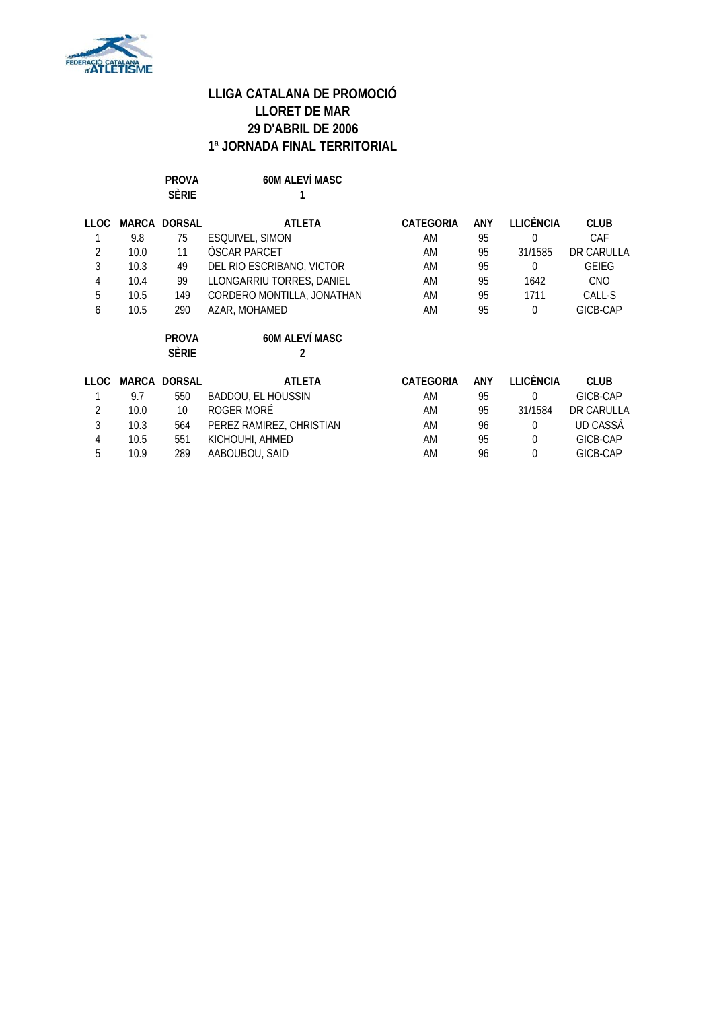

PROVA 60M ALEVÍ MASC **SÈRIE 1**

| LLOC        |      | <b>MARCA DORSAL</b>          | ATLETA                     | <b>CATEGORIA</b> | <b>ANY</b> | <b>LLICÈNCIA</b> | <b>CLUB</b>  |
|-------------|------|------------------------------|----------------------------|------------------|------------|------------------|--------------|
|             | 9.8  | 75                           | ESQUIVEL, SIMON            | AM               | 95         | $\Omega$         | CAF          |
| 2           | 10.0 | 11                           | ÒSCAR PARCET               | AM               | 95         | 31/1585          | DR CARULLA   |
| 3           | 10.3 | 49                           | DEL RIO ESCRIBANO, VICTOR  | AM               | 95         | $\Omega$         | <b>GEIEG</b> |
| 4           | 10.4 | 99                           | LLONGARRIU TORRES, DANIEL  | AM               | 95         | 1642             | <b>CNO</b>   |
| 5           | 10.5 | 149                          | CORDERO MONTILLA, JONATHAN | AM               | 95         | 1711             | CALL-S       |
| 6           | 10.5 | 290                          | AZAR, MOHAMED              | AM               | 95         | $\Omega$         | GICB-CAP     |
|             |      | <b>PROVA</b><br><b>SÈRIE</b> | <b>60M ALEVÍ MASC</b><br>2 |                  |            |                  |              |
| <b>LLOC</b> |      | MARCA DORSAL                 | <b>ATLETA</b>              | <b>CATEGORIA</b> | ANY        | <b>LLICÈNCIA</b> | <b>CLUB</b>  |
|             | 9.7  | 550                          | <b>BADDOU, EL HOUSSIN</b>  | AM               | 95         | $\Omega$         | GICB-CAP     |
| 2           | 10.0 | 10                           | ROGER MORÉ                 | AM               | 95         | 31/1584          | DR CARULLA   |
| 3           | 10.3 | 564                          | PEREZ RAMIREZ, CHRISTIAN   | AM               | 96         | $\Omega$         | UD CASSA     |
| 4           | 10.5 | 551                          | KICHOUHI, AHMED            | AM               | 95         | $\Omega$         | GICB-CAP     |
| 5           | 10.9 | 289                          | AABOUBOU, SAID             | AM               | 96         | $\theta$         | GICB-CAP     |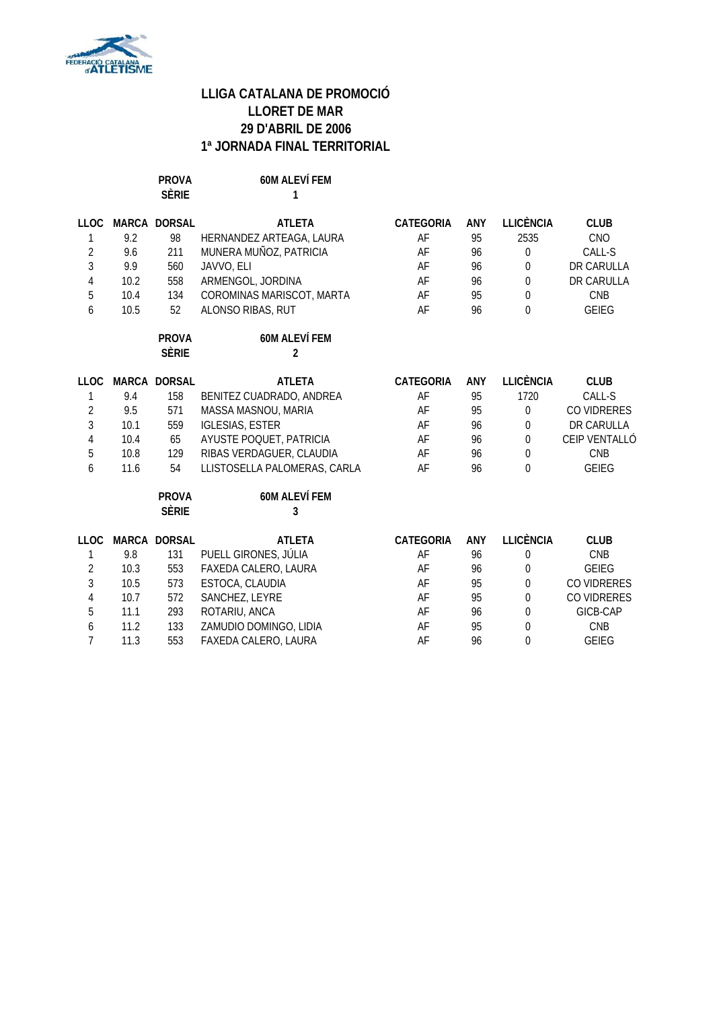

PROVA 60M ALEVÍ FEM<br>
SÈRIE 1 **S 1** 

| <b>LLOC</b><br>1<br>$\overline{2}$<br>3<br>$\sqrt{4}$<br>5 | 9.2<br>9.6<br>9.9<br>10.2<br>10.4 | MARCA DORSAL<br>98<br>211<br>560<br>558<br>134 | <b>ATLETA</b><br>HERNANDEZ ARTEAGA, LAURA<br>MUNERA MUÑOZ, PATRICIA<br>JAVVO, ELI<br>ARMENGOL, JORDINA<br>COROMINAS MARISCOT, MARTA | <b>CATEGORIA</b><br>AF<br>AF<br>AF<br>AF<br>AF | <b>ANY</b><br>95<br>96<br>96<br>96<br>95 | <b>LLICÈNCIA</b><br>2535<br>$\boldsymbol{0}$<br>$\overline{0}$<br>$\boldsymbol{0}$<br>$\boldsymbol{0}$ | <b>CLUB</b><br><b>CNO</b><br>CALL-S<br>DR CARULLA<br>DR CARULLA<br>CNB |
|------------------------------------------------------------|-----------------------------------|------------------------------------------------|-------------------------------------------------------------------------------------------------------------------------------------|------------------------------------------------|------------------------------------------|--------------------------------------------------------------------------------------------------------|------------------------------------------------------------------------|
| 6                                                          | 10.5                              | 52<br><b>PROVA</b><br><b>SÈRIE</b>             | ALONSO RIBAS, RUT<br><b>60M ALEVÍ FEM</b><br>$\overline{\mathbf{c}}$                                                                | AF                                             | 96                                       | $\theta$                                                                                               | <b>GEIEG</b>                                                           |
|                                                            | MARCA                             | <b>DORSAL</b>                                  | <b>ATLETA</b>                                                                                                                       |                                                |                                          | <b>LLICÈNCIA</b>                                                                                       | <b>CLUB</b>                                                            |
| <b>LLOC</b><br>1                                           | 9.4                               | 158                                            | BENITEZ CUADRADO, ANDREA                                                                                                            | <b>CATEGORIA</b><br>AF                         | <b>ANY</b><br>95                         | 1720                                                                                                   | CALL-S                                                                 |
| $\overline{2}$                                             | 9.5                               | 571                                            | MASSA MASNOU, MARIA                                                                                                                 | AF                                             | 95                                       | $\boldsymbol{0}$                                                                                       | CO VIDRERES                                                            |
| 3                                                          | 10.1                              | 559                                            | <b>IGLESIAS, ESTER</b>                                                                                                              | AF                                             | 96                                       | 0                                                                                                      | DR CARULLA                                                             |
| $\sqrt{4}$                                                 | 10.4                              | 65                                             | AYUSTE POQUET, PATRICIA                                                                                                             | AF                                             | 96                                       | $\overline{0}$                                                                                         | CEIP VENTALLÓ                                                          |
| 5                                                          | 10.8                              | 129                                            | RIBAS VERDAGUER, CLAUDIA                                                                                                            | AF                                             | 96                                       | $\Omega$                                                                                               | <b>CNB</b>                                                             |
| 6                                                          | 11.6                              | 54                                             | LLISTOSELLA PALOMERAS, CARLA                                                                                                        | AF                                             | 96                                       | $\theta$                                                                                               | <b>GEIEG</b>                                                           |
|                                                            |                                   | <b>PROVA</b><br><b>SÈRIE</b>                   | <b>60M ALEVÍ FEM</b><br>3                                                                                                           |                                                |                                          |                                                                                                        |                                                                        |
| <b>LLOC</b>                                                | MARCA                             | <b>DORSAL</b>                                  | <b>ATLETA</b>                                                                                                                       | <b>CATEGORIA</b>                               | <b>ANY</b>                               | <b>LLICÈNCIA</b>                                                                                       | <b>CLUB</b>                                                            |
| 1                                                          | 9.8                               | 131                                            | PUELL GIRONES, JÚLIA                                                                                                                | AF                                             | 96                                       | $\mathbf 0$                                                                                            | <b>CNB</b>                                                             |
| $\overline{2}$                                             | 10.3                              | 553                                            | FAXEDA CALERO, LAURA                                                                                                                | AF                                             | 96                                       | $\boldsymbol{0}$                                                                                       | <b>GEIEG</b>                                                           |
| 3                                                          | 10.5                              | 573                                            | ESTOCA, CLAUDIA                                                                                                                     | AF                                             | 95                                       | $\boldsymbol{0}$                                                                                       | CO VIDRERES                                                            |
| $\overline{4}$                                             | 10.7                              | 572                                            | SANCHEZ, LEYRE                                                                                                                      | AF                                             | 95                                       | $\overline{0}$                                                                                         | CO VIDRERES                                                            |
| 5                                                          | 11.1                              | 293                                            | ROTARIU, ANCA                                                                                                                       | AF                                             | 96                                       | $\boldsymbol{0}$                                                                                       | GICB-CAP                                                               |
| 6                                                          | 11.2                              | 133                                            | ZAMUDIO DOMINGO, LIDIA                                                                                                              | AF                                             | 95                                       | $\overline{0}$                                                                                         | <b>CNB</b>                                                             |
| $\overline{7}$                                             | 11.3                              | 553                                            | FAXEDA CALERO, LAURA                                                                                                                | AF                                             | 96                                       | $\boldsymbol{0}$                                                                                       | <b>GEIEG</b>                                                           |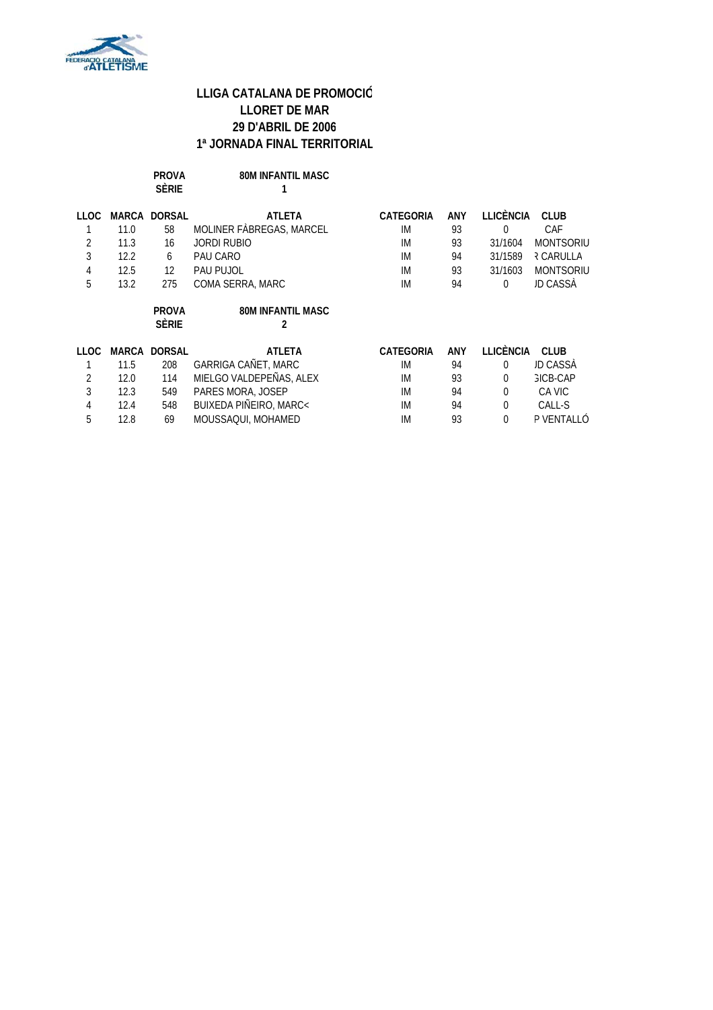

| <b>PROVA</b> | <b>80M INFANTIL MASC</b> |
|--------------|--------------------------|
| <b>SFRIF</b> |                          |

| 11 O.C.     | MARCA | <b>DORSAL</b>                | <b>ATLETA</b>                 | CATEGORIA        | ANY | LLICÈNCIA        | <b>CLUB</b>      |
|-------------|-------|------------------------------|-------------------------------|------------------|-----|------------------|------------------|
|             | 11.0  | 58                           | MOLINER FABREGAS, MARCEL      | IM               | 93  | $\theta$         | CAF              |
| 2           | 11.3  | 16                           | <b>JORDI RUBIO</b>            | IM               | 93  | 31/1604          | <b>MONTSORIU</b> |
| 3           | 12.2  | 6                            | PAU CARO                      | IM               | 94  | 31/1589          | २ CARULLA        |
| 4           | 12.5  | 12                           | PAU PUJOL                     | IM               | 93  | 31/1603          | <b>MONTSORIU</b> |
| 5           | 13.2  | 275                          | COMA SERRA, MARC              | IM               | 94  | $\Omega$         | JD CASSÀ         |
|             |       | <b>PROVA</b><br><b>SÈRIE</b> | <b>80M INFANTIL MASC</b><br>2 |                  |     |                  |                  |
| <b>LLOC</b> |       | <b>MARCA DORSAL</b>          | <b>ATLETA</b>                 | <b>CATEGORIA</b> | ANY | <b>LLICÈNCIA</b> | <b>CLUB</b>      |
|             | 11.5  | 208                          | GARRIGA CAÑET, MARC           | IM               | 94  | $\Omega$         | JD CASSÀ         |
| 2           | 12.0  | 114                          | MIELGO VALDEPEÑAS, ALEX       | IM               | 93  | $\theta$         | GICB-CAP         |
| 3           | 12.3  | 549                          | PARES MORA, JOSEP             | IM               | 94  | $\Omega$         | CA VIC           |
| 4           | 12.4  | 548                          | BUIXEDA PIÑEIRO, MARC<        | IM               | 94  | $\mathbf 0$      | CALL-S           |
| 5           | 12.8  | 69                           | MOUSSAQUI, MOHAMED            | IM               | 93  | $\theta$         | P VENTALLÓ       |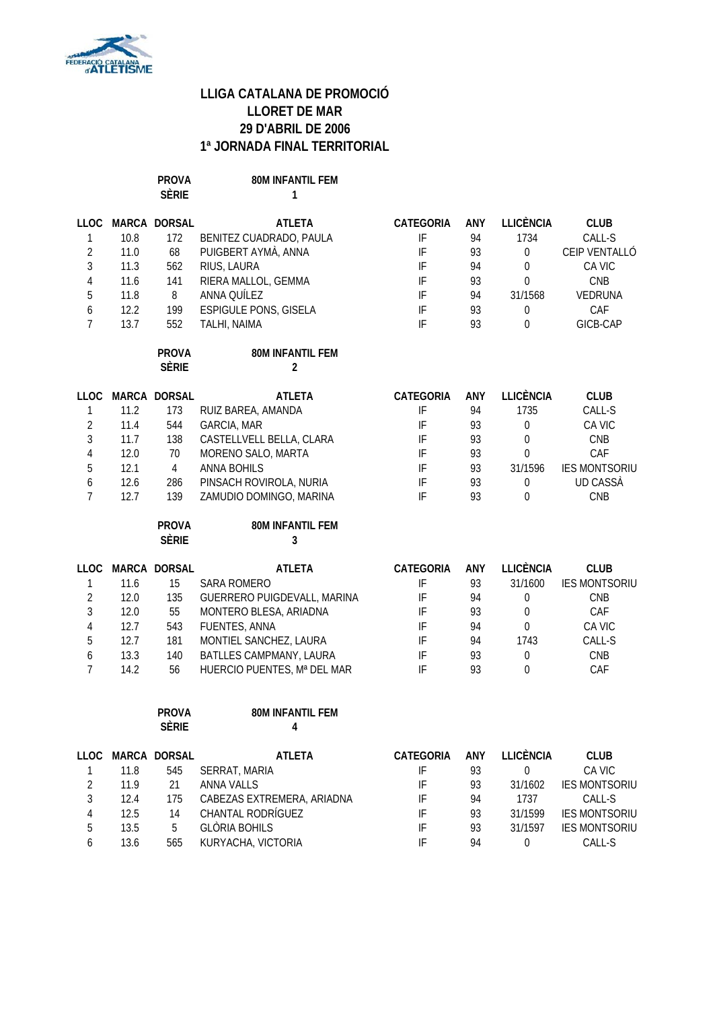

**PROVA 80M INFANTIL FEM SÈRIE 1**

| <b>LLOC</b>    |      | MARCA DORSAL                 | <b>ATLETA</b>                      | CATEGORIA                  | ANY | <b>LLICÈNCIA</b> | <b>CLUB</b>          |
|----------------|------|------------------------------|------------------------------------|----------------------------|-----|------------------|----------------------|
| 1              | 10.8 | 172                          | BENITEZ CUADRADO, PAULA            | IF                         | 94  | 1734             | CALL-S               |
| $\overline{2}$ | 11.0 | 68                           | PUIGBERT AYMÀ, ANNA                | IF                         | 93  | $\boldsymbol{0}$ | CEIP VENTALLÓ        |
| $\mathfrak{Z}$ | 11.3 | 562                          | RIUS, LAURA                        | $\ensuremath{\mathsf{IF}}$ | 94  | $\boldsymbol{0}$ | CA VIC               |
| $\overline{4}$ | 11.6 | 141                          | RIERA MALLOL, GEMMA                | IF                         | 93  | $\boldsymbol{0}$ | CNB                  |
| 5              | 11.8 | 8                            | ANNA QUÍLEZ                        | IF                         | 94  | 31/1568          | VEDRUNA              |
| 6              | 12.2 | 199                          | <b>ESPIGULE PONS, GISELA</b>       | $\ensuremath{\mathsf{IF}}$ | 93  | $\boldsymbol{0}$ | CAF                  |
| $\overline{7}$ | 13.7 | 552                          | TALHI, NAIMA                       | IF                         | 93  | $\theta$         | GICB-CAP             |
|                |      | <b>PROVA</b><br><b>SÈRIE</b> | 80M INFANTIL FEM<br>$\overline{2}$ |                            |     |                  |                      |
|                |      | LLOC MARCA DORSAL            | <b>ATLETA</b>                      | CATEGORIA                  | ANY | <b>LLICÈNCIA</b> | <b>CLUB</b>          |
| $\mathbf{1}$   | 11.2 | 173                          | RUIZ BAREA, AMANDA                 | $\ensuremath{\mathsf{IF}}$ | 94  | 1735             | CALL-S               |
| $\overline{2}$ | 11.4 | 544                          | GARCIA, MAR                        | IF                         | 93  | $\boldsymbol{0}$ | CA VIC               |
| $\mathfrak{Z}$ | 11.7 | 138                          | CASTELLVELL BELLA, CLARA           | IF                         | 93  | $\boldsymbol{0}$ | CNB                  |
| $\overline{4}$ | 12.0 | 70                           | MORENO SALO, MARTA                 | IF                         | 93  | $\mathbf 0$      | CAF                  |
| 5              | 12.1 | $\overline{4}$               | <b>ANNA BOHILS</b>                 | IF                         | 93  | 31/1596          | <b>IES MONTSORIU</b> |
| 6              | 12.6 | 286                          | PINSACH ROVIROLA, NURIA            | IF                         | 93  | 0                | <b>UD CASSÀ</b>      |
| $\overline{7}$ | 12.7 | 139                          | ZAMUDIO DOMINGO, MARINA            | IF                         | 93  | $\overline{0}$   | CNB                  |
|                |      | <b>PROVA</b>                 | 80M INFANTIL FEM                   |                            |     |                  |                      |
|                |      | <b>SÈRIE</b>                 | 3                                  |                            |     |                  |                      |
| <b>LLOC</b>    |      | MARCA DORSAL                 | <b>ATLETA</b>                      | CATEGORIA                  | ANY | <b>LLICÈNCIA</b> | <b>CLUB</b>          |
| $\mathbf{1}$   | 11.6 | 15                           | SARA ROMERO                        | IF                         | 93  | 31/1600          | <b>IES MONTSORIU</b> |
| $\overline{2}$ | 12.0 | 135                          | GUERRERO PUIGDEVALL, MARINA        | IF                         | 94  | 0                | <b>CNB</b>           |
| $\overline{3}$ | 12.0 | 55                           | MONTERO BLESA, ARIADNA             | IF                         | 93  | $\boldsymbol{0}$ | CAF                  |
| $\overline{4}$ | 12.7 | 543                          | FUENTES, ANNA                      | IF                         | 94  | $\boldsymbol{0}$ | CA VIC               |
| 5              | 12.7 | 181                          | MONTIEL SANCHEZ, LAURA             | IF                         | 94  | 1743             | CALL-S               |
| 6              | 13.3 | 140                          | BATLLES CAMPMANY, LAURA            | IF                         | 93  | $\boldsymbol{0}$ | CNB                  |
| $\overline{7}$ | 14.2 | 56                           | HUERCIO PUENTES, Mª DEL MAR        | IF                         | 93  | $\mathbf 0$      | CAF                  |
|                |      | <b>PROVA</b>                 | 80M INFANTIL FEM                   |                            |     |                  |                      |
|                |      | <b>SÈRIE</b>                 | 4                                  |                            |     |                  |                      |
| <b>LLOC</b>    |      | MARCA DORSAL                 | <b>ATLETA</b>                      | CATEGORIA                  | ANY | <b>LLICÈNCIA</b> | <b>CLUB</b>          |
| $\mathbf{1}$   | 11.8 | 545                          | SERRAT, MARIA                      | IF                         | 93  | $\boldsymbol{0}$ | CA VIC               |
| $\overline{2}$ | 11.9 | 21                           | <b>ANNA VALLS</b>                  | $\ensuremath{\mathsf{IF}}$ | 93  | 31/1602          | <b>IES MONTSORIU</b> |
| $\mathfrak{Z}$ | 12.4 | 175                          | CABEZAS EXTREMERA, ARIADNA         | $\ensuremath{\mathsf{IF}}$ | 94  | 1737             | CALL-S               |
| $\overline{4}$ | 12.5 | 14                           | CHANTAL RODRÍGUEZ                  | IF                         | 93  | 31/1599          | <b>IES MONTSORIU</b> |
| 5              | 13.5 | 5                            | <b>GLÒRIA BOHILS</b>               | IF                         | 93  | 31/1597          | <b>IES MONTSORIU</b> |

6 13.6 565 KURYACHA, VICTORIA IF 94 0 CALL-S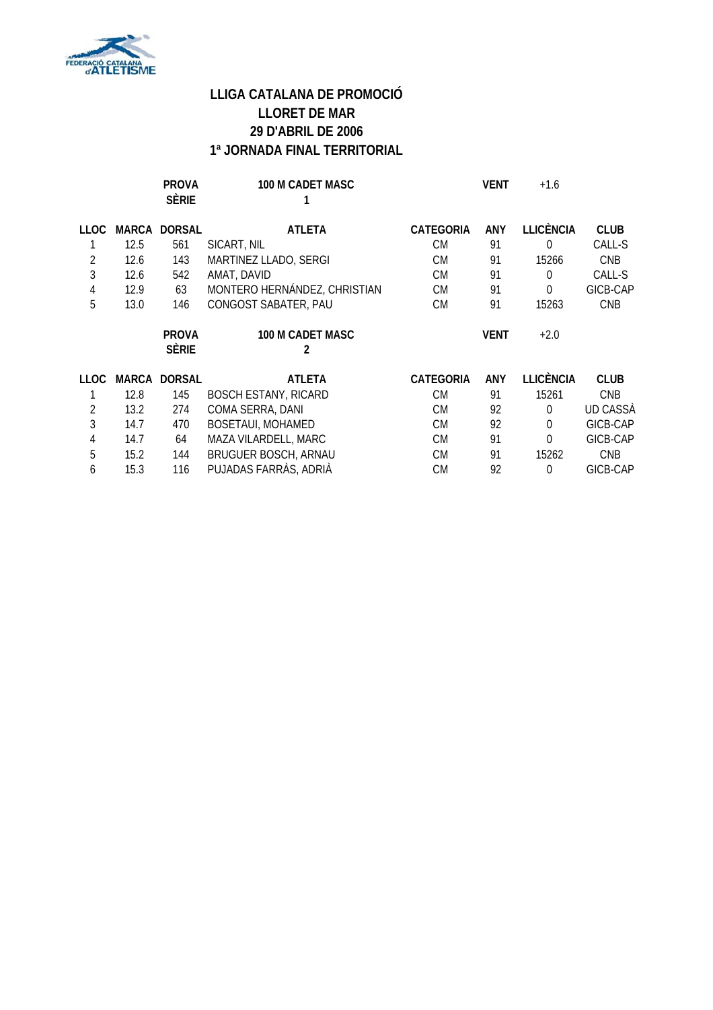

|      |       | <b>PROVA</b><br><b>SÈRIE</b> | 100 M CADET MASC             |                  | <b>VENT</b> | $+1.6$           |             |
|------|-------|------------------------------|------------------------------|------------------|-------------|------------------|-------------|
| LLOC | MARCA | <b>DORSAL</b>                | <b>ATLETA</b>                | <b>CATEGORIA</b> | ANY         | <b>LLICÈNCIA</b> | <b>CLUB</b> |
|      | 12.5  | 561                          | SICART, NIL                  | CM               | 91          | 0                | CALL-S      |
| 2    | 12.6  | 143                          | MARTINEZ LLADO, SERGI        | <b>CM</b>        | 91          | 15266            | <b>CNB</b>  |
| 3    | 12.6  | 542                          | AMAT, DAVID                  | <b>CM</b>        | 91          | 0                | CALL-S      |
| 4    | 12.9  | 63                           | MONTERO HERNÁNDEZ, CHRISTIAN | <b>CM</b>        | 91          | 0                | GICB-CAP    |
| 5    | 13.0  | 146                          | CONGOST SABATER, PAU         | <b>CM</b>        | 91          | 15263            | <b>CNB</b>  |
|      |       | <b>PROVA</b><br><b>SÈRIE</b> | <b>100 M CADET MASC</b><br>2 |                  | <b>VENT</b> | $+2.0$           |             |
| LLOC | MARCA | <b>DORSAL</b>                | ATLETA                       | <b>CATEGORIA</b> | <b>ANY</b>  | <b>LLICÈNCIA</b> | <b>CLUB</b> |
|      | 12.8  | 145                          | <b>BOSCH ESTANY, RICARD</b>  | <b>CM</b>        | 91          | 15261            | <b>CNB</b>  |
| 2    | 13.2  | 274                          | COMA SERRA, DANI             | <b>CM</b>        | 92          | 0                | UD CASSÀ    |
| 3    | 14.7  | 470                          | <b>BOSETAUI, MOHAMED</b>     | <b>CM</b>        | 92          | 0                | GICB-CAP    |
| 4    | 14.7  | 64                           | MAZA VILARDELL, MARC         | CM               | 91          | 0                | GICB-CAP    |
|      |       |                              |                              |                  |             |                  |             |
| 5    | 15.2  | 144                          | <b>BRUGUER BOSCH, ARNAU</b>  | CM               | 91          | 15262            | <b>CNB</b>  |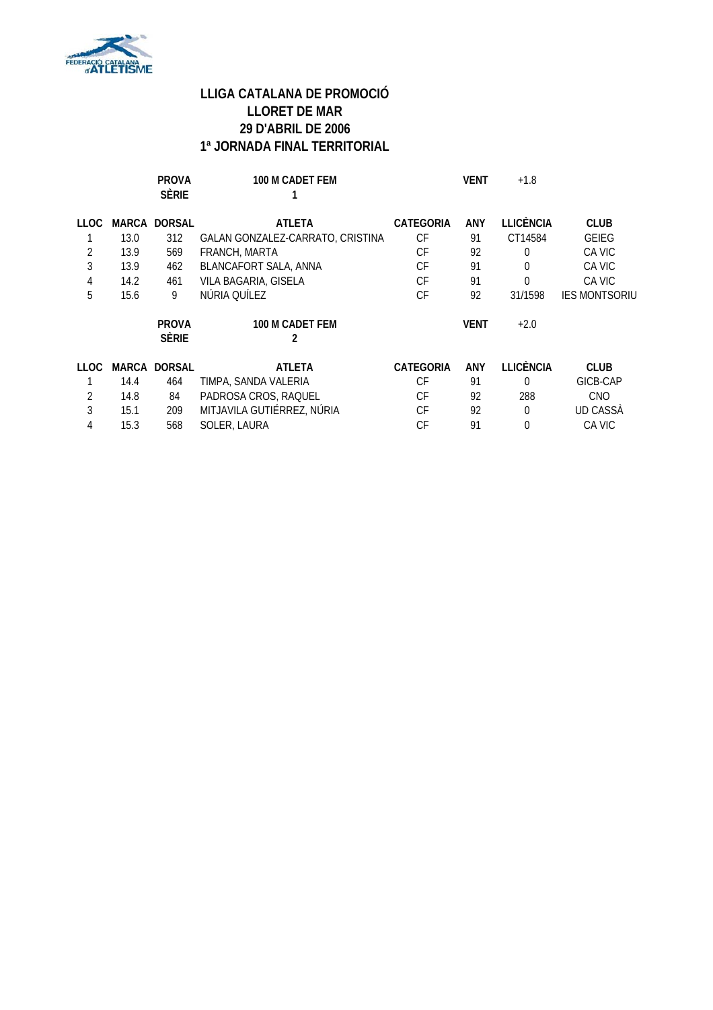

|             |       | <b>PROVA</b><br><b>SÈRIE</b> | 100 M CADET FEM                  |                  | <b>VENT</b> | $+1.8$           |                      |
|-------------|-------|------------------------------|----------------------------------|------------------|-------------|------------------|----------------------|
| <b>LLOC</b> | MARCA | <b>DORSAL</b>                | <b>ATLETA</b>                    | <b>CATEGORIA</b> | <b>ANY</b>  | <b>LLICÈNCIA</b> | <b>CLUB</b>          |
|             | 13.0  | 312                          | GALAN GONZALEZ-CARRATO, CRISTINA | СF               | 91          | CT14584          | <b>GEIEG</b>         |
| 2           | 13.9  | 569                          | FRANCH, MARTA                    | СF               | 92          | 0                | CA VIC               |
| 3           | 13.9  | 462                          | BLANCAFORT SALA, ANNA            | CF               | 91          | 0                | CA VIC               |
| 4           | 14.2  | 461                          | VILA BAGARIA, GISELA             | CF               | 91          | 0                | CA VIC               |
| 5           | 15.6  | 9                            | NÚRIA QUÍLEZ                     | СF               | 92          | 31/1598          | <b>IES MONTSORIU</b> |
|             |       | <b>PROVA</b><br><b>SÈRIE</b> | 100 M CADET FEM<br>2             |                  | <b>VENT</b> | $+2.0$           |                      |
| LLOC        |       | <b>MARCA DORSAL</b>          | <b>ATLETA</b>                    | CATEGORIA        | <b>ANY</b>  | LLICÈNCIA        | <b>CLUB</b>          |
|             | 14.4  | 464                          | TIMPA, SANDA VALERIA             | СF               | 91          | $\Omega$         | GICB-CAP             |
| 2           | 14.8  | 84                           | PADROSA CROS, RAQUEL             | СF               | 92          | 288              | <b>CNO</b>           |
| 3           | 15.1  | 209                          | MITJAVILA GUTIÉRREZ, NÚRIA       | СF               | 92          | $\Omega$         | UD CASSA             |
| 4           | 15.3  | 568                          | SOLER, LAURA                     | СF               | 91          | 0                | CA VIC               |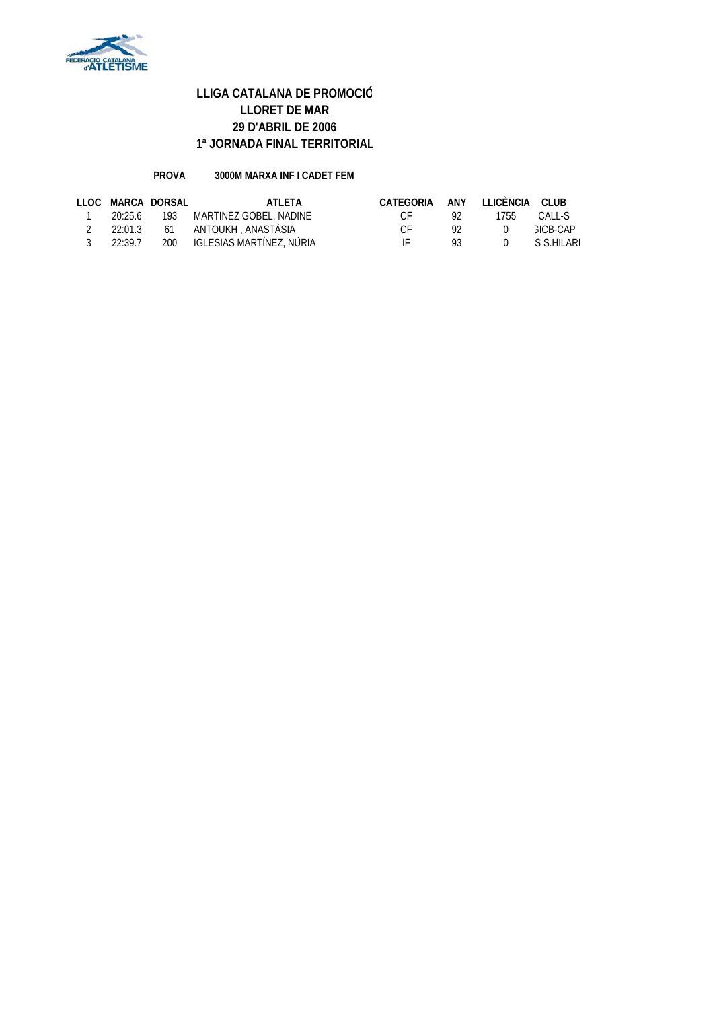

#### **PROVA 3000M MARXA INF I CADET FEM**

|                |             | LLOC MARCA DORSAL | ATI FTA                            | CATEGORIA ANY LLICÈNCIA CLUB |                |        |                 |
|----------------|-------------|-------------------|------------------------------------|------------------------------|----------------|--------|-----------------|
| $\overline{1}$ |             |                   | 20:25.6 193 MARTINEZ GOBEL, NADINE | $C_{\rm F}$                  | -92            | 1755   | CALL-S          |
|                |             |                   | 2 22:01.3 61 ANTOUKH ANASTÀSIA     | $\cap$ F                     | -92            | $\cap$ | <b>GICB-CAP</b> |
|                | 3 $22:39.7$ |                   | 200 IGLESIAS MARTÍNEZ, NÚRIA       | IF                           | $\mathsf{Q}$ 3 |        | 0 S.S.HILARI    |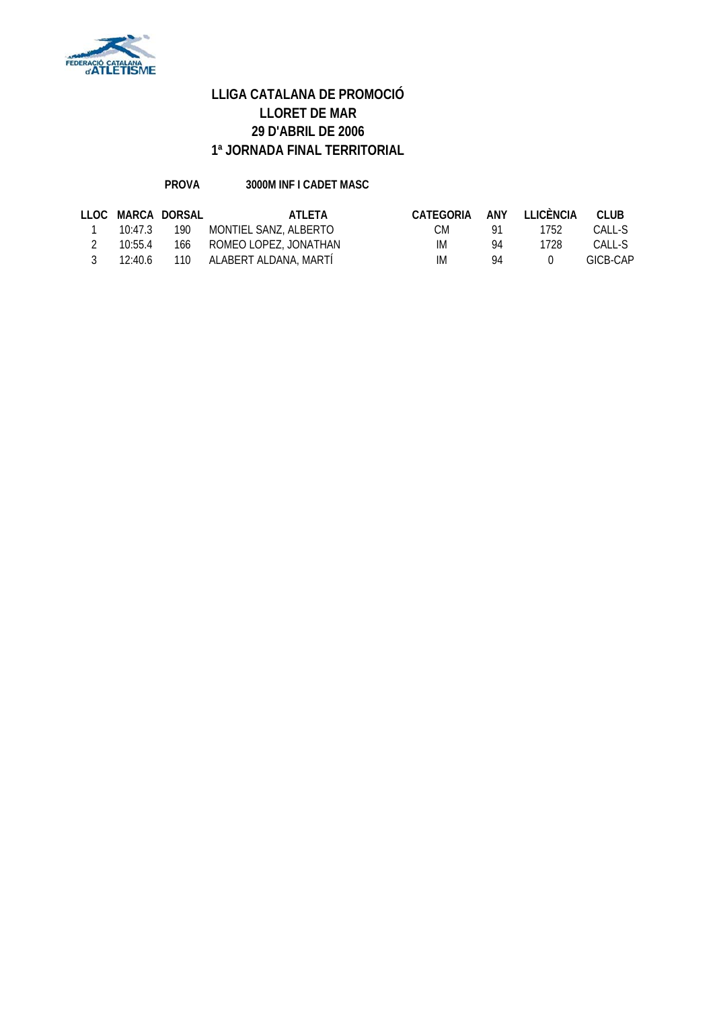

### **PROVA 3000M INF I CADET MASC**

|         | LLOC MARCA DORSAL | ATI FTA                           | CATEGORIA |    | ANY LLICÈNCIA    | CLUB     |
|---------|-------------------|-----------------------------------|-----------|----|------------------|----------|
|         |                   | 10:47.3 190 MONTIEL SANZ, ALBERTO | CM.       |    | 1752             | CALL-S   |
| 10:55.4 |                   | 166 ROMEO LOPEZ, JONATHAN         | IM.       | 94 | 1728             | CALL-S   |
|         |                   | 12:40.6 110 ALABERT ALDANA, MARTI | IM.       | 94 | $\left( \right)$ | GICB-CAP |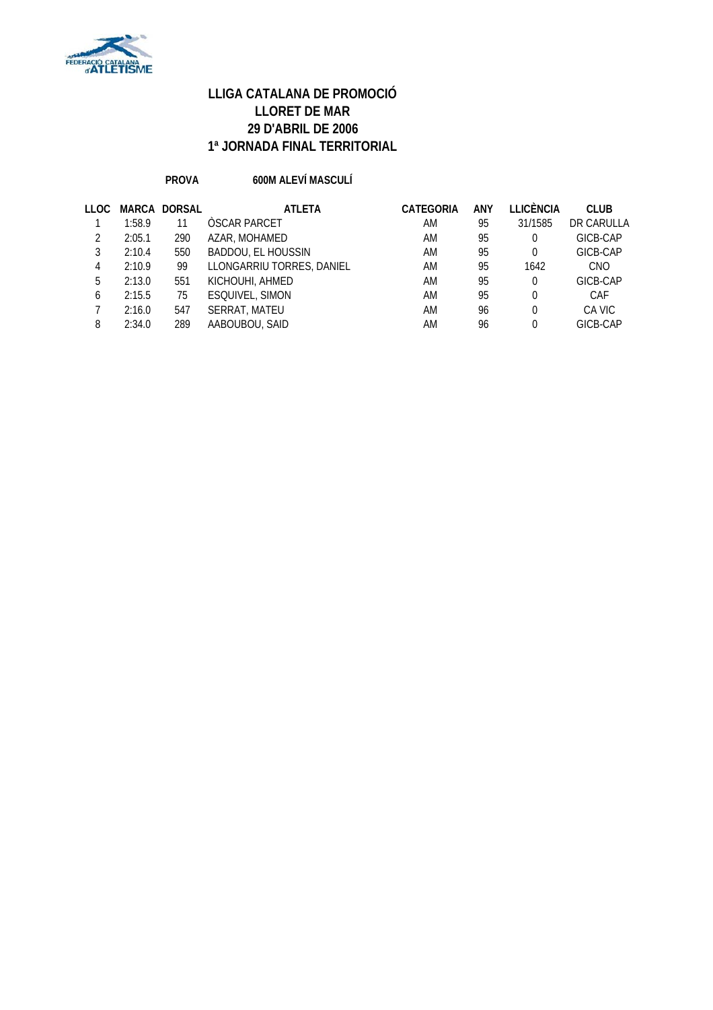

#### **PROVA 600M ALEVÍ MASCULÍ**

| LLOC |        | <b>MARCA DORSAL</b> | <b>ATLETA</b>             | CATEGORIA | ANY | LLICÈNCIA | <b>CLUB</b> |
|------|--------|---------------------|---------------------------|-----------|-----|-----------|-------------|
|      | 1:58.9 | 11                  | ÒSCAR PARCET              | AM        | 95  | 31/1585   | DR CARULLA  |
|      | 2:05.1 | 290                 | AZAR, MOHAMED             | AM        | 95  | $\Omega$  | GICB-CAP    |
| 3    | 2:10.4 | 550                 | <b>BADDOU, EL HOUSSIN</b> | AM        | 95  | $\Omega$  | GICB-CAP    |
| 4    | 2:10.9 | 99                  | LLONGARRIU TORRES, DANIEL | AM        | 95  | 1642      | <b>CNO</b>  |
| 5    | 2:13.0 | 551                 | KICHOUHI, AHMED           | AM        | 95  | $\Omega$  | GICB-CAP    |
| 6    | 2:15.5 | 75                  | <b>ESQUIVEL, SIMON</b>    | AM        | 95  | $\Omega$  | CAF         |
|      | 2:16.0 | 547                 | SERRAT, MATEU             | AM        | 96  | $\Omega$  | CA VIC      |
| 8    | 2:34.0 | 289                 | AABOUBOU, SAID            | AM        | 96  | $\Omega$  | GICB-CAP    |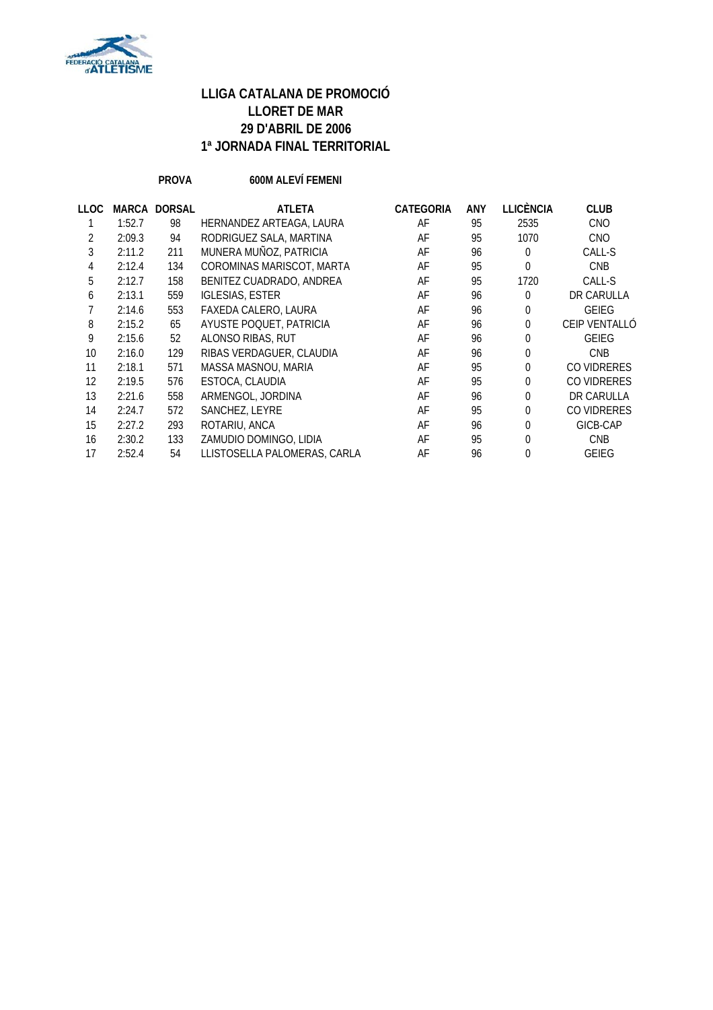

**PROVA 600M ALEVÍ FEMENI**

| LLOC | MARCA  | <b>DORSAL</b> | <b>ATLETA</b>                | <b>CATEGORIA</b> | ANY | <b>LLICÈNCIA</b> | <b>CLUB</b>   |
|------|--------|---------------|------------------------------|------------------|-----|------------------|---------------|
|      | 1:52.7 | 98            | HERNANDEZ ARTEAGA, LAURA     | AF               | 95  | 2535             | <b>CNO</b>    |
| 2    | 2:09.3 | 94            | RODRIGUEZ SALA, MARTINA      | AF               | 95  | 1070             | <b>CNO</b>    |
| 3    | 2:11.2 | 211           | MUNERA MUÑOZ, PATRICIA       | AF               | 96  | $\overline{0}$   | CALL-S        |
| 4    | 2:12.4 | 134           | COROMINAS MARISCOT, MARTA    | AF               | 95  | $\overline{0}$   | <b>CNB</b>    |
| 5    | 2:12.7 | 158           | BENITEZ CUADRADO, ANDREA     | AF               | 95  | 1720             | CALL-S        |
| 6    | 2:13.1 | 559           | <b>IGLESIAS, ESTER</b>       | AF               | 96  | 0                | DR CARULLA    |
|      | 2:14.6 | 553           | FAXEDA CALERO, LAURA         | AF               | 96  | $\overline{0}$   | <b>GEIEG</b>  |
| 8    | 2:15.2 | 65            | AYUSTE POQUET, PATRICIA      | AF               | 96  | 0                | CEIP VENTALLÓ |
| 9    | 2:15.6 | 52            | ALONSO RIBAS, RUT            | AF               | 96  | $\overline{0}$   | <b>GEIEG</b>  |
| 10   | 2:16.0 | 129           | RIBAS VERDAGUER, CLAUDIA     | AF               | 96  | $\overline{0}$   | <b>CNB</b>    |
| 11   | 2:18.1 | 571           | MASSA MASNOU, MARIA          | AF               | 95  | 0                | CO VIDRERES   |
| 12   | 2:19.5 | 576           | ESTOCA, CLAUDIA              | AF               | 95  | 0                | CO VIDRERES   |
| 13   | 2:21.6 | 558           | ARMENGOL, JORDINA            | AF               | 96  | 0                | DR CARULLA    |
| 14   | 2:24.7 | 572           | SANCHEZ, LEYRE               | AF               | 95  | 0                | CO VIDRERES   |
| 15   | 2:27.2 | 293           | ROTARIU, ANCA                | AF               | 96  | $\overline{0}$   | GICB-CAP      |
| 16   | 2:30.2 | 133           | ZAMUDIO DOMINGO, LIDIA       | AF               | 95  | $\theta$         | <b>CNB</b>    |
| 17   | 2:52.4 | 54            | LLISTOSELLA PALOMERAS, CARLA | AF               | 96  | $\overline{0}$   | <b>GEIEG</b>  |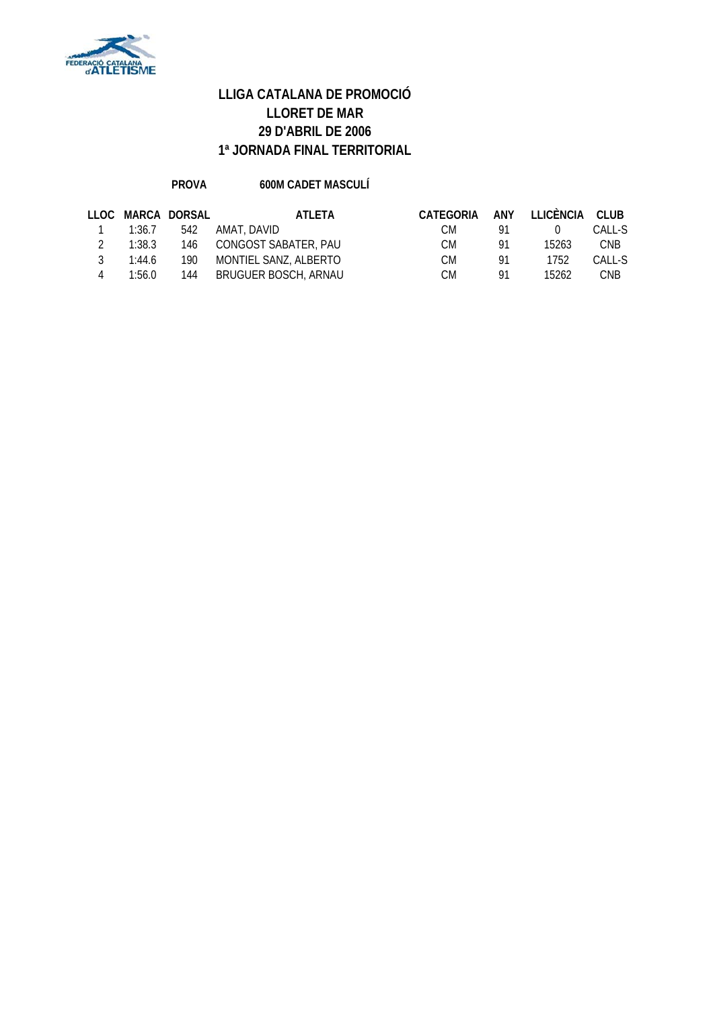

#### **PROVA 600M CADET MASCULÍ**

|        | LLOC MARCA DORSAL | ATI FTA               | CATEGORIA | ANY | LLICÈNCIA | CLUB       |
|--------|-------------------|-----------------------|-----------|-----|-----------|------------|
| 1:36.7 | 542               | AMAT. DAVID           | CМ        | 91  |           | CALL-S     |
| 1:38.3 | 146               | CONGOST SABATER, PAU  | СM        | 91  | 15263     | <b>CNB</b> |
| 1:44.6 | 190               | MONTIEL SANZ, ALBERTO | СM        | 91  | 1752      | CALL-S     |
| 1:56.0 | 144               | BRUGUER BOSCH, ARNAU  | СM        | 91  | 15262     | <b>CNB</b> |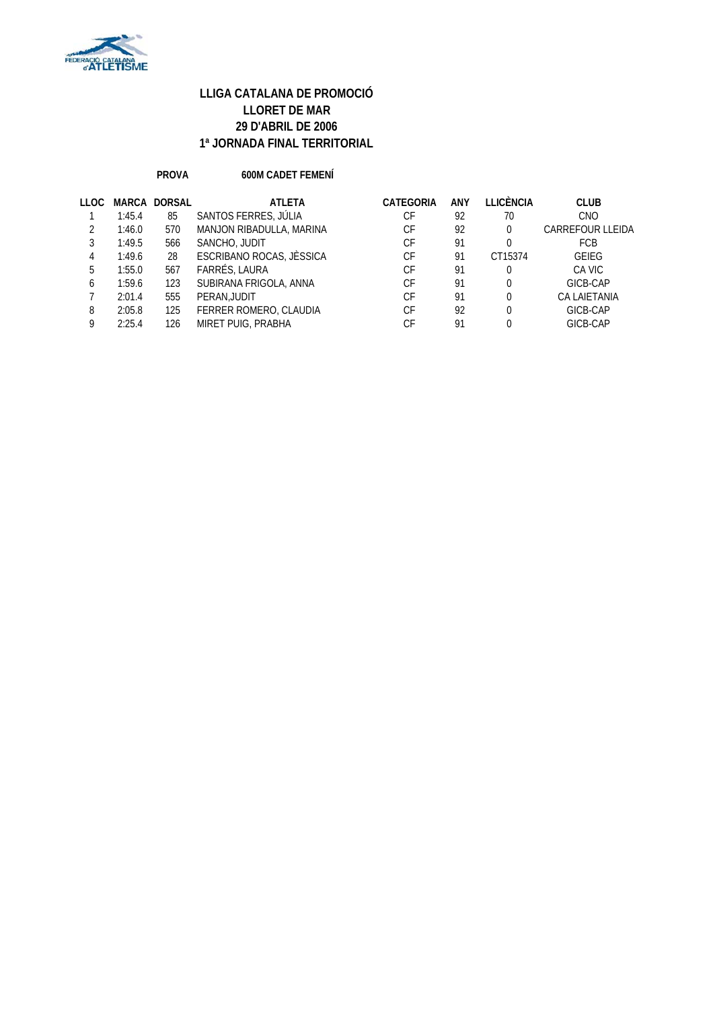

#### **PROVA 600M CADET FEMENÍ**

| LLOC. |        | <b>MARCA DORSAL</b> | <b>ATLETA</b>            | CATEGORIA | ANY | <b>LLICÈNCIA</b> | <b>CLUB</b>             |
|-------|--------|---------------------|--------------------------|-----------|-----|------------------|-------------------------|
|       | 1:45.4 | 85                  | SANTOS FERRES, JÚLIA     | СF        | 92  | 70               | <b>CNO</b>              |
|       | 1:46.0 | 570                 | MANJON RIBADULLA, MARINA | СF        | 92  | 0                | <b>CARREFOUR LLEIDA</b> |
|       | 1:49.5 | 566                 | SANCHO, JUDIT            | СF        | 91  | 0                | <b>FCB</b>              |
|       | 1:49.6 | 28                  | ESCRIBANO ROCAS, JÈSSICA | СF        | 91  | CT15374          | <b>GEIEG</b>            |
| 5     | 1:55.0 | 567                 | FARRÉS, LAURA            | СF        | 91  | 0                | CA VIC                  |
| 6     | 1:59.6 | 123                 | SUBIRANA FRIGOLA, ANNA   | СF        | 91  | 0                | GICB-CAP                |
|       | 2:01.4 | 555                 | PERAN, JUDIT             | СF        | 91  | 0                | <b>CA LAIETANIA</b>     |
| 8     | 2:05.8 | 125                 | FERRER ROMERO, CLAUDIA   | СF        | 92  | 0                | GICB-CAP                |
| Q     | 2:25.4 | 126                 | MIRET PUIG, PRABHA       | СF        | 91  | 0                | GICB-CAP                |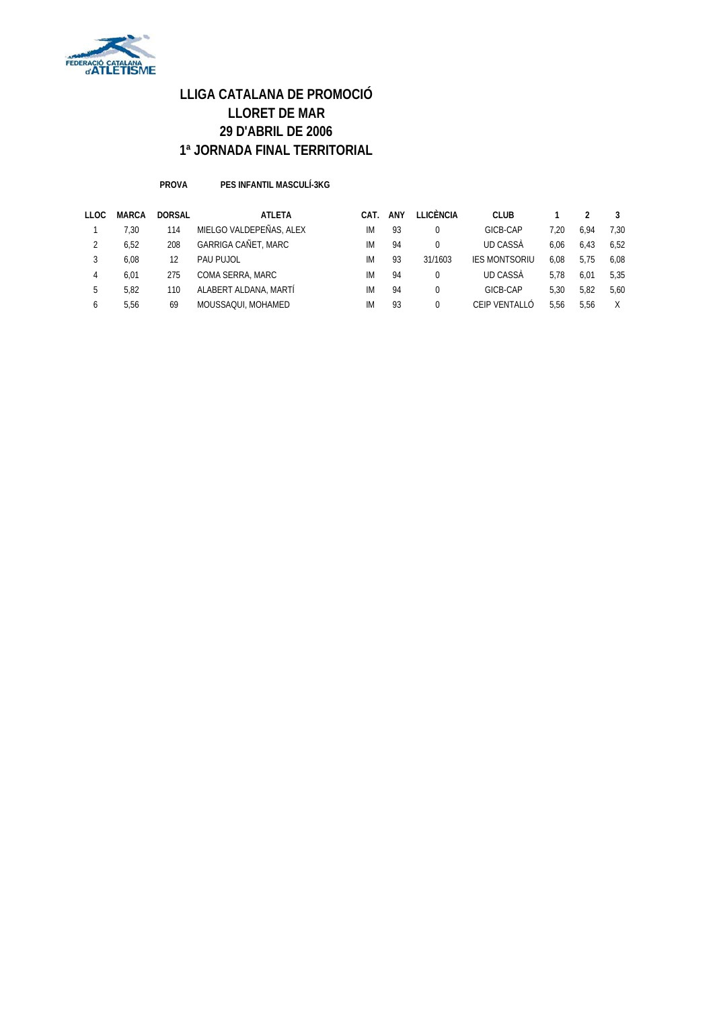

**PROVA PES INFANTIL MASCULÍ-3KG**

| LLOC | <b>MARCA</b> | <b>DORSAL</b> | <b>ATLETA</b>           | CAT. | <b>ANY</b> | LLICÈNCIA | <b>CLUB</b>          |      |      |      |
|------|--------------|---------------|-------------------------|------|------------|-----------|----------------------|------|------|------|
|      | 7.30         | 114           | MIELGO VALDEPEÑAS, ALEX | IM   | 93         |           | GICB-CAP             | 7.20 | 6.94 | 7.30 |
|      | 6.52         | 208           | GARRIGA CAÑET, MARC     | IM   | 94         |           | <b>UD CASSA</b>      | 6.06 | 6.43 | 6.52 |
|      | 6.08         | 12            | PAU PUJOL               | IM   | 93         | 31/1603   | <b>IES MONTSORIU</b> | 6.08 | 5.75 | 6.08 |
| 4    | 6.01         | 275           | COMA SERRA, MARC        | IM   | 94         |           | <b>UD CASSA</b>      | 5.78 | 6.01 | 5.35 |
| 5    | 5.82         | 110           | ALABERT ALDANA, MARTÍ   | IM   | 94         |           | GICB-CAP             | 5.30 | 5.82 | 5.60 |
| 6    | 5.56         | 69            | MOUSSAQUI, MOHAMED      | IM   | 93         |           | CEIP VENTALLÓ        | 5.56 | 5.56 |      |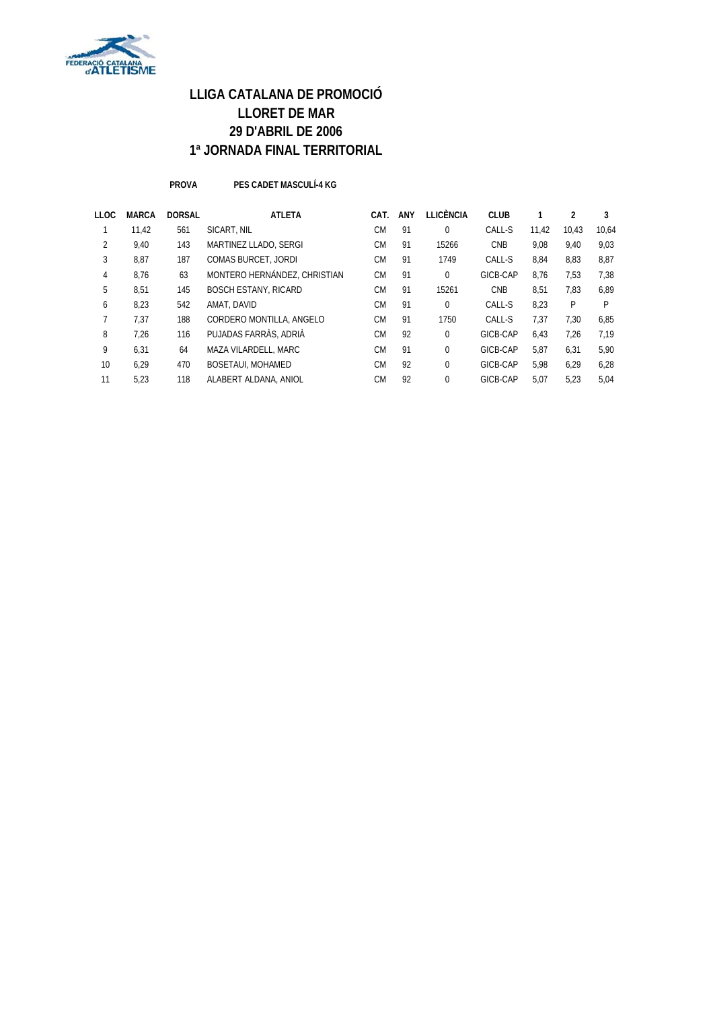

**PROVA PES CADET MASCULÍ-4 KG**

| <b>MARCA</b> | <b>DORSAL</b> | <b>ATLETA</b>                | CAT.      | <b>ANY</b> | LLICÈNCIA   | <b>CLUB</b> |       | 2     | 3     |
|--------------|---------------|------------------------------|-----------|------------|-------------|-------------|-------|-------|-------|
| 11.42        | 561           | SICART, NIL                  | <b>CM</b> | 91         | 0           | CALL-S      | 11.42 | 10.43 | 10.64 |
| 9,40         | 143           | MARTINEZ LLADO, SERGI        | <b>CM</b> | 91         | 15266       | <b>CNB</b>  | 9.08  | 9,40  | 9,03  |
| 8,87         | 187           | <b>COMAS BURCET, JORDI</b>   | <b>CM</b> | 91         | 1749        | CALL-S      | 8,84  | 8,83  | 8,87  |
| 8.76         | 63            | MONTERO HERNÁNDEZ, CHRISTIAN | <b>CM</b> | 91         | 0           | GICB-CAP    | 8.76  | 7,53  | 7,38  |
| 8,51         | 145           | <b>BOSCH ESTANY, RICARD</b>  | <b>CM</b> | 91         | 15261       | <b>CNB</b>  | 8,51  | 7,83  | 6.89  |
| 8,23         | 542           | AMAT, DAVID                  | <b>CM</b> | 91         | 0           | CALL-S      | 8.23  | P     | P     |
| 7,37         | 188           | CORDERO MONTILLA, ANGELO     | <b>CM</b> | 91         | 1750        | CALL-S      | 7,37  | 7,30  | 6,85  |
| 7.26         | 116           | PUJADAS FARRÀS, ADRIÀ        | <b>CM</b> | 92         | $\theta$    | GICB-CAP    | 6,43  | 7,26  | 7.19  |
| 6,31         | 64            | MAZA VILARDELL, MARC         | <b>CM</b> | 91         | $\mathbf 0$ | GICB-CAP    | 5,87  | 6,31  | 5,90  |
| 6.29         | 470           | <b>BOSETAUI, MOHAMED</b>     | <b>CM</b> | 92         | $\mathbf 0$ | GICB-CAP    | 5.98  | 6,29  | 6,28  |
| 5,23         | 118           | ALABERT ALDANA, ANIOL        | <b>CM</b> | 92         | 0           | GICB-CAP    | 5,07  | 5,23  | 5,04  |
|              |               |                              |           |            |             |             |       |       |       |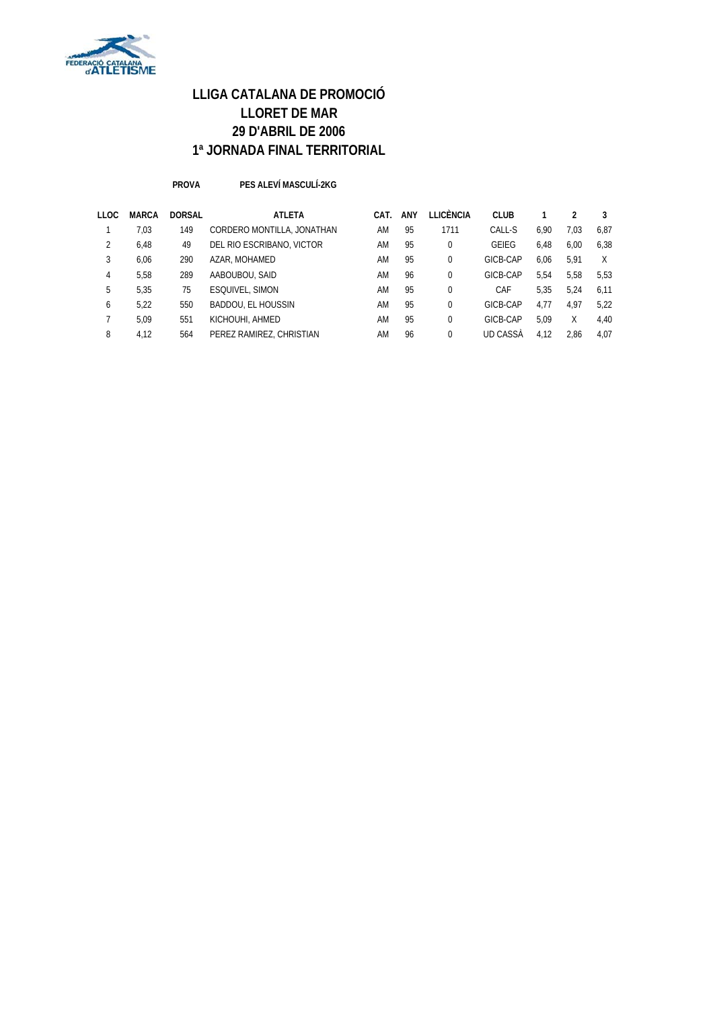

#### **PROVA PES ALEVÍ MASCULÍ-2KG**

| LLOC | <b>MARCA</b> | <b>DORSAL</b> | <b>ATLETA</b>              | CAT. | <b>ANY</b> | LLICÈNCIA | <b>CLUB</b>  |      |      |      |
|------|--------------|---------------|----------------------------|------|------------|-----------|--------------|------|------|------|
|      | 7,03         | 149           | CORDERO MONTILLA, JONATHAN | AM   | 95         | 1711      | CALL-S       | 6.90 | 7.03 | 6,87 |
|      | 6,48         | 49            | DEL RIO ESCRIBANO, VICTOR  | AM   | 95         | 0         | <b>GEIEG</b> | 6.48 | 6.00 | 6,38 |
| 3    | 6.06         | 290           | AZAR, MOHAMED              | AM   | 95         | 0         | GICB-CAP     | 6.06 | 5.91 | X    |
| 4    | 5.58         | 289           | AABOUBOU, SAID             | AM   | 96         | 0         | GICB-CAP     | 5.54 | 5.58 | 5.53 |
| 5    | 5.35         | 75            | ESQUIVEL, SIMON            | AM   | 95         | 0         | CAF          | 5.35 | 5.24 | 6.11 |
| 6    | 5.22         | 550           | <b>BADDOU, EL HOUSSIN</b>  | AM   | 95         | 0         | GICB-CAP     | 4.77 | 4.97 | 5.22 |
|      | 5.09         | 551           | KICHOUHI, AHMED            | AM   | 95         | 0         | GICB-CAP     | 5.09 | χ    | 4,40 |
| 8    | 4.12         | 564           | PEREZ RAMIREZ, CHRISTIAN   | AM   | 96         |           | UD CASSA     | 4.12 | 2.86 | 4.07 |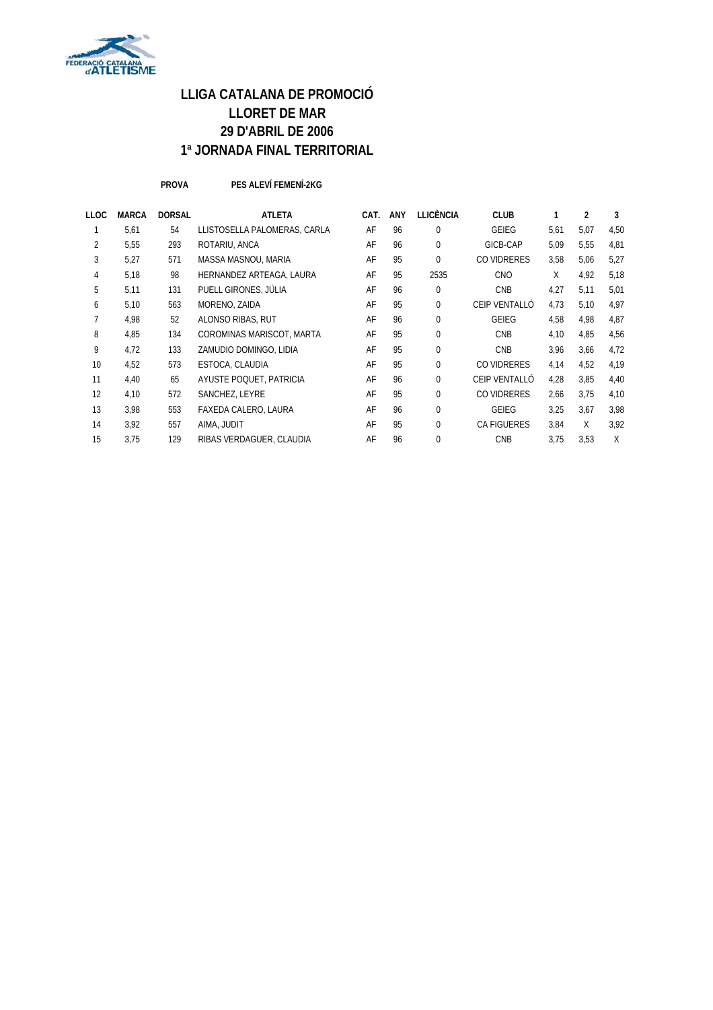

**PROVA PES ALEVÍ FEMENÍ-2KG**

| LLOC | <b>MARCA</b> | <b>DORSAL</b> | <b>ATLETA</b>                | CAT. | <b>ANY</b> | <b>LLICÈNCIA</b> | <b>CLUB</b>        |      | 2    | 3    |
|------|--------------|---------------|------------------------------|------|------------|------------------|--------------------|------|------|------|
|      | 5,61         | 54            | LLISTOSELLA PALOMERAS, CARLA | AF   | 96         | $\Omega$         | <b>GEIEG</b>       | 5,61 | 5,07 | 4,50 |
| 2    | 5,55         | 293           | ROTARIU, ANCA                | AF   | 96         | $\Omega$         | GICB-CAP           | 5,09 | 5,55 | 4,81 |
| 3    | 5,27         | 571           | MASSA MASNOU, MARIA          | AF   | 95         | $\Omega$         | CO VIDRERES        | 3.58 | 5.06 | 5.27 |
| 4    | 5,18         | 98            | HERNANDEZ ARTEAGA, LAURA     | AF   | 95         | 2535             | <b>CNO</b>         | X    | 4,92 | 5,18 |
| 5    | 5,11         | 131           | PUELL GIRONES, JÚLIA         | AF   | 96         | 0                | <b>CNB</b>         | 4,27 | 5,11 | 5,01 |
| 6    | 5,10         | 563           | MORENO, ZAIDA                | AF   | 95         | $\Omega$         | CEIP VENTALLÓ      | 4.73 | 5,10 | 4,97 |
|      | 4,98         | 52            | ALONSO RIBAS, RUT            | AF   | 96         | 0                | <b>GEIEG</b>       | 4,58 | 4,98 | 4,87 |
| 8    | 4,85         | 134           | COROMINAS MARISCOT, MARTA    | AF   | 95         | 0                | <b>CNB</b>         | 4,10 | 4.85 | 4,56 |
| 9    | 4,72         | 133           | ZAMUDIO DOMINGO, LIDIA       | AF   | 95         | $\Omega$         | <b>CNB</b>         | 3,96 | 3,66 | 4,72 |
| 10   | 4,52         | 573           | ESTOCA, CLAUDIA              | AF   | 95         | $\Omega$         | CO VIDRERES        | 4,14 | 4,52 | 4,19 |
| 11   | 4,40         | 65            | AYUSTE POQUET, PATRICIA      | AF   | 96         | $\Omega$         | CEIP VENTALLÓ      | 4,28 | 3.85 | 4,40 |
| 12   | 4,10         | 572           | SANCHEZ, LEYRE               | AF   | 95         | $\Omega$         | CO VIDRERES        | 2,66 | 3.75 | 4,10 |
| 13   | 3,98         | 553           | FAXEDA CALERO, LAURA         | AF   | 96         | 0                | <b>GEIEG</b>       | 3,25 | 3,67 | 3,98 |
| 14   | 3,92         | 557           | AIMA, JUDIT                  | AF   | 95         | $\Omega$         | <b>CA FIGUERES</b> | 3,84 | X    | 3,92 |
| 15   | 3,75         | 129           | RIBAS VERDAGUER, CLAUDIA     | AF   | 96         | 0                | <b>CNB</b>         | 3,75 | 3.53 | X    |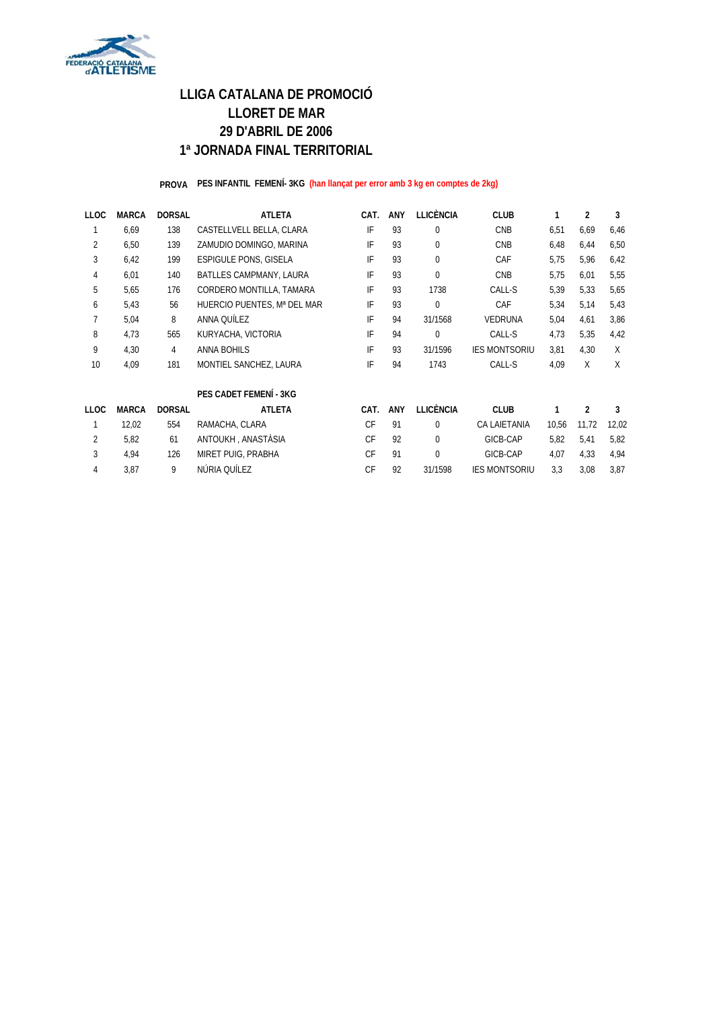

#### **PROVA PES INFANTIL FEMENÍ- 3KG (han llançat per error amb 3 kg en comptes de 2kg)**

| <b>LLOC</b>    | <b>MARCA</b> | <b>DORSAL</b>  | <b>ATLETA</b>                  | CAT. | <b>ANY</b> | <b>LLICÈNCIA</b><br><b>CLUB</b> |                      |       | 2              | 3     |
|----------------|--------------|----------------|--------------------------------|------|------------|---------------------------------|----------------------|-------|----------------|-------|
|                | 6,69         | 138            | CASTELLVELL BELLA, CLARA       | IF   | 93         | $\mathbf{0}$                    | CNB                  | 6,51  | 6,69           | 6,46  |
| 2              | 6,50         | 139            | ZAMUDIO DOMINGO, MARINA        | IF   | 93         | $\Omega$                        | CNB                  | 6,48  | 6,44           | 6,50  |
| 3              | 6,42         | 199            | <b>ESPIGULE PONS, GISELA</b>   | IF   | 93         | $\Omega$                        | CAF                  | 5,75  | 5,96           | 6,42  |
| 4              | 6,01         | 140            | <b>BATLLES CAMPMANY, LAURA</b> | IF   | 93         | $\Omega$                        | <b>CNB</b>           | 5,75  | 6,01           | 5,55  |
| 5              | 5,65         | 176            | CORDERO MONTILLA, TAMARA       | IF   | 93         | 1738                            | CALL-S               | 5,39  | 5,33           | 5,65  |
| 6              | 5,43         | 56             | HUERCIO PUENTES, Mª DEL MAR    | IF   | 93         | $\mathbf 0$                     | CAF                  | 5,34  | 5,14           | 5,43  |
|                | 5,04         | 8              | ANNA QUÍLEZ                    | IF   | 94         | 31/1568                         | <b>VEDRUNA</b>       | 5,04  | 4,61           | 3,86  |
| 8              | 4,73         | 565            | KURYACHA, VICTORIA             | IF   | 94         | $\mathbf 0$                     | CALL-S               | 4,73  | 5,35           | 4,42  |
| 9              | 4,30         | $\overline{4}$ | <b>ANNA BOHILS</b>             | IF   | 93         | 31/1596                         | <b>IES MONTSORIU</b> | 3,81  | 4.30           | X     |
| 10             | 4,09         | 181            | MONTIEL SANCHEZ, LAURA         | IF   | 94         | 1743                            | CALL-S               | 4,09  | X              | X     |
|                |              |                | PES CADET FEMENÍ - 3KG         |      |            |                                 |                      |       |                |       |
| <b>LLOC</b>    | <b>MARCA</b> | <b>DORSAL</b>  | <b>ATLETA</b>                  | CAT. | <b>ANY</b> | <b>LLICÈNCIA</b>                | <b>CLUB</b>          |       | $\mathfrak{p}$ | 3     |
|                | 12,02        | 554            | RAMACHA, CLARA                 | CF   | 91         | $\Omega$                        | CA LAIETANIA         | 10,56 | 11,72          | 12,02 |
| $\overline{2}$ | 5.82         | 61             | ANTOUKH, ANASTÀSIA             | CF   | 92         | $\Omega$                        | GICB-CAP             | 5.82  | 5.41           | 5,82  |
| 3              | 4,94         | 126            | MIRET PUIG, PRABHA             | CF   | 91         | $\overline{0}$                  | GICB-CAP             | 4,07  | 4,33           | 4,94  |
| 4              | 3,87         | 9              | NÚRIA QUÍLEZ                   | CF   | 92         | 31/1598                         | <b>IES MONTSORIU</b> | 3,3   | 3,08           | 3,87  |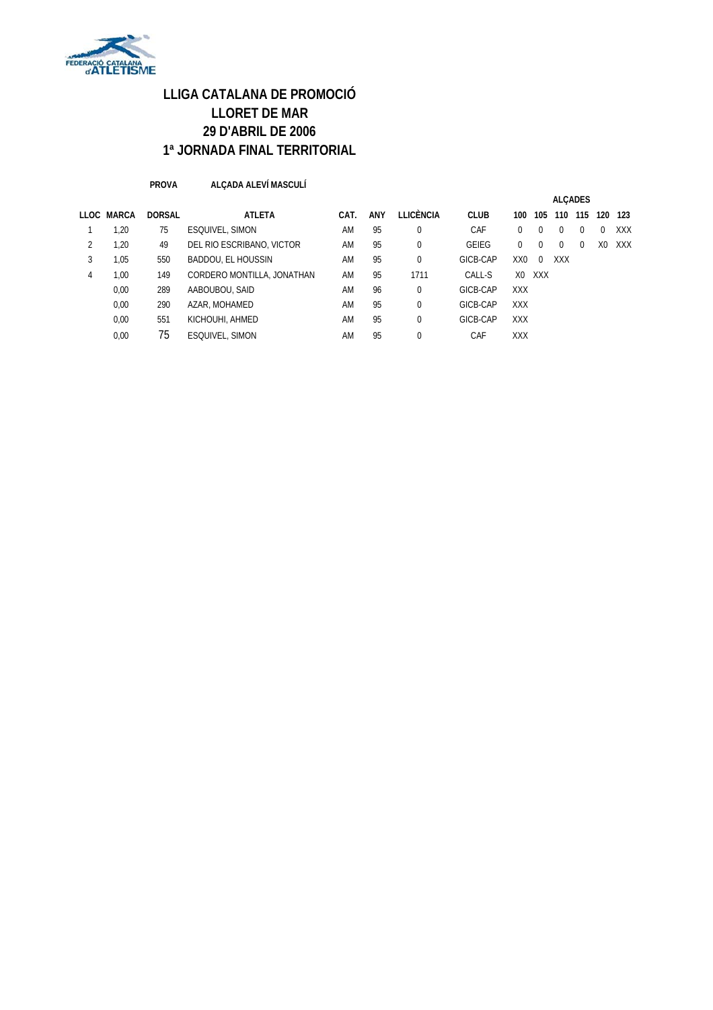

**PROVA ALÇADA ALEVÍ MASCULÍ**

|   |            |               |                            |      |     |             |              |                |          | <b>ALCADES</b> |          |          |     |
|---|------------|---------------|----------------------------|------|-----|-------------|--------------|----------------|----------|----------------|----------|----------|-----|
|   | LLOC MARCA | <b>DORSAL</b> | <b>ATLETA</b>              | CAT. | ANY | LLICÈNCIA   | <b>CLUB</b>  | 100            | 105      | 110            | 115      | 120      | 123 |
|   | 1,20       | 75            | ESQUIVEL, SIMON            | AM   | 95  | $\Omega$    | CAF          |                | $\Omega$ | $\Omega$       | $\Omega$ | $\Omega$ | XXX |
| 2 | 1,20       | 49            | DEL RIO ESCRIBANO, VICTOR  | AM   | 95  | $\mathbf 0$ | <b>GEIEG</b> | 0              | $\Omega$ | $\Omega$       | $\Omega$ | X0       | XXX |
| 3 | 1,05       | 550           | <b>BADDOU, EL HOUSSIN</b>  | AM   | 95  | $\Omega$    | GICB-CAP     | XX0            | $\Omega$ | <b>XXX</b>     |          |          |     |
| 4 | 1,00       | 149           | CORDERO MONTILLA, JONATHAN | AM   | 95  | 1711        | CALL-S       | X <sub>0</sub> | XXX      |                |          |          |     |
|   | 0,00       | 289           | AABOUBOU, SAID             | AM   | 96  | $\Omega$    | GICB-CAP     | <b>XXX</b>     |          |                |          |          |     |
|   | 0,00       | 290           | AZAR, MOHAMED              | AM   | 95  | $\Omega$    | GICB-CAP     | <b>XXX</b>     |          |                |          |          |     |
|   | 0,00       | 551           | KICHOUHI, AHMED            | AM   | 95  | $\Omega$    | GICB-CAP     | <b>XXX</b>     |          |                |          |          |     |
|   | 0.00       | 75            | ESQUIVEL, SIMON            | AM   | 95  | $\Omega$    | CAF          | <b>XXX</b>     |          |                |          |          |     |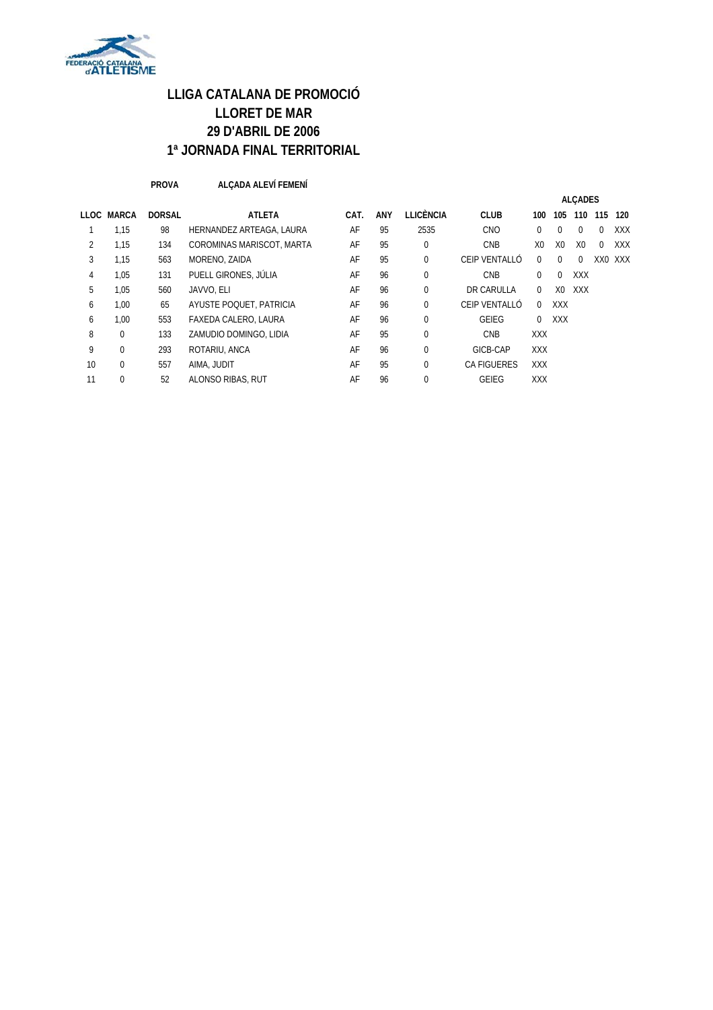

**PROVA ALÇADA ALEVÍ FEMENÍ**

|    |            |               |                           |      |            |                  |               |                |                | <b>ALCADES</b> |          |            |
|----|------------|---------------|---------------------------|------|------------|------------------|---------------|----------------|----------------|----------------|----------|------------|
|    | LLOC MARCA | <b>DORSAL</b> | <b>ATLETA</b>             | CAT. | <b>ANY</b> | <b>LLICÈNCIA</b> | <b>CLUB</b>   | 100            | 105            | 110            | 115      | 120        |
|    | 1,15       | 98            | HERNANDEZ ARTEAGA, LAURA  | AF   | 95         | 2535             | <b>CNO</b>    | $\Omega$       | 0              | $\Omega$       | $\Omega$ | <b>XXX</b> |
| 2  | 1,15       | 134           | COROMINAS MARISCOT, MARTA | AF   | 95         | $\Omega$         | <b>CNB</b>    | X <sub>0</sub> | X <sub>0</sub> | X <sub>0</sub> | $\Omega$ | <b>XXX</b> |
| 3  | 1,15       | 563           | MORENO, ZAIDA             | AF   | 95         | $\Omega$         | CEIP VENTALLÓ | $\Omega$       | $\Omega$       | $\Omega$       |          | XX0 XXX    |
| 4  | 1,05       | 131           | PUELL GIRONES, JÚLIA      | AF   | 96         | $\mathbf 0$      | <b>CNB</b>    | 0              | $\Omega$       | <b>XXX</b>     |          |            |
| 5  | 1.05       | 560           | JAVVO, ELI                | AF   | 96         | $\Omega$         | DR CARULLA    | 0              | X <sub>0</sub> | XXX            |          |            |
| 6  | 1.00       | 65            | AYUSTE POQUET, PATRICIA   | AF   | 96         |                  | CEIP VENTALLÓ | $\Omega$       | <b>XXX</b>     |                |          |            |
| 6  | 1,00       | 553           | FAXEDA CALERO, LAURA      | AF   | 96         | $\Omega$         | <b>GEIEG</b>  | $\mathbf 0$    | <b>XXX</b>     |                |          |            |
| 8  | $\Omega$   | 133           | ZAMUDIO DOMINGO, LIDIA    | AF   | 95         | $\Omega$         | <b>CNB</b>    | <b>XXX</b>     |                |                |          |            |
| 9  | $\Omega$   | 293           | ROTARIU, ANCA             | AF   | 96         | $\Omega$         | GICB-CAP      | <b>XXX</b>     |                |                |          |            |
| 10 | $\Omega$   | 557           | AIMA, JUDIT               | AF   | 95         | $\Omega$         | CA FIGUERES   | <b>XXX</b>     |                |                |          |            |
|    | $\Omega$   | 52            | ALONSO RIBAS, RUT         | AF   | 96         |                  | GEIEG         | <b>XXX</b>     |                |                |          |            |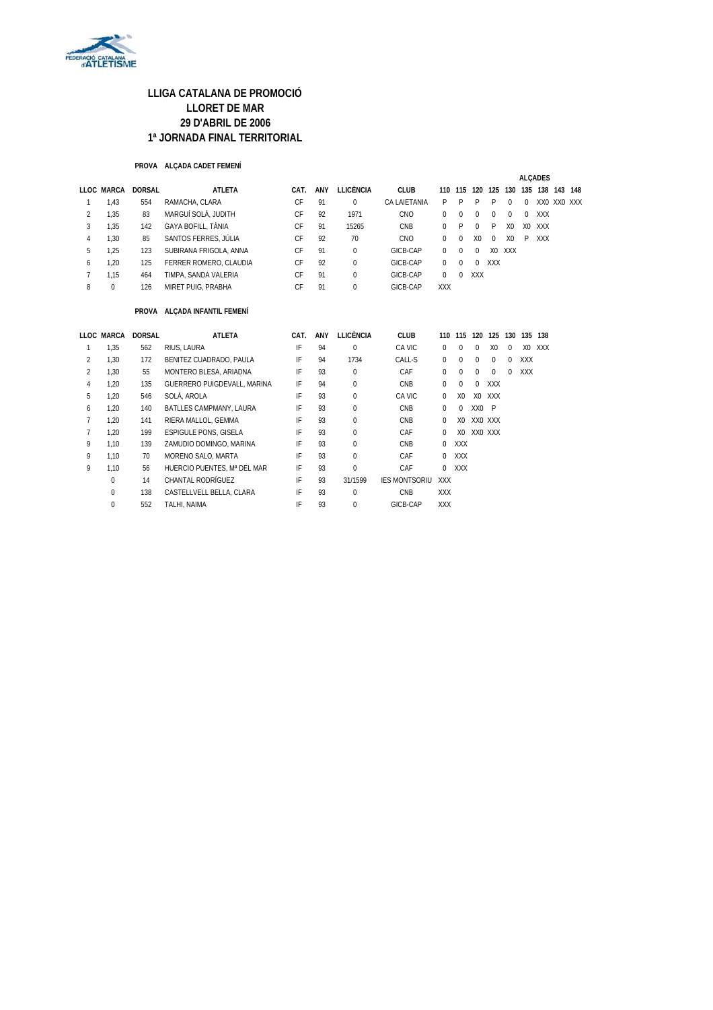

#### **PROVA ALÇADA CADET FEMENÍ**

|                |            |               |                        |      |     |           |              |            |          |                |            |                |        | <b>ALCADES</b> |     |             |
|----------------|------------|---------------|------------------------|------|-----|-----------|--------------|------------|----------|----------------|------------|----------------|--------|----------------|-----|-------------|
|                | LLOC MARCA | <b>DORSAL</b> | ATLETA                 | CAT. | ANY | LLICÈNCIA | <b>CLUB</b>  | 110        | 115      | 120            | 125        | 130            | 135    | 138            | 143 | 148         |
|                | 1,43       | 554           | RAMACHA, CLARA         | CF   | 91  | 0         | CA LAIETANIA | P.         | P        | P              | P          | $^{\circ}$     | $\Box$ |                |     | XXO XXO XXX |
| $\overline{2}$ | 1,35       | 83            | MARGUÍ SOLÀ. JUDITH    | CF   | 92  | 1971      | <b>CNO</b>   | 0          | $\Omega$ | $\Omega$       | $\Omega$   | $\Omega$       | 0      | XXX            |     |             |
| 3              | 1,35       | 142           | GAYA BOFILL, TÀNIA     | CF   | 91  | 15265     | <b>CNB</b>   | 0          | P        | $\Omega$       | P          | X <sub>0</sub> | XO.    | XXX            |     |             |
| 4              | 1.30       | 85            | SANTOS FERRES. JÚLIA   | CF   | 92  | 70        | <b>CNO</b>   | 0          | $\Omega$ | X <sub>0</sub> | $\Omega$   | X0             | P      | <b>XXX</b>     |     |             |
| 5              | 1,25       | 123           | SUBIRANA FRIGOLA, ANNA | CF   | 91  | $\Omega$  | GICB-CAP     | 0          | $\Omega$ | $\Omega$       | X0         | XXX            |        |                |     |             |
| 6              | 1,20       | 125           | FERRER ROMERO, CLAUDIA | CF   | 92  | $\Omega$  | GICB-CAP     | 0          | $\Box$   | $\Omega$       | <b>XXX</b> |                |        |                |     |             |
|                | 1.15       | 464           | TIMPA, SANDA VALERIA   | CF   | 91  | $\Omega$  | GICB-CAP     | 0          | $\Omega$ | <b>XXX</b>     |            |                |        |                |     |             |
| 8              | $\Omega$   | 126           | MIRET PUIG, PRABHA     | CF   | 91  | 0         | GICB-CAP     | <b>XXX</b> |          |                |            |                |        |                |     |             |

#### **PROVA ALÇADA INFANTIL FEMENÍ**

|               | LLOC MARCA  | <b>DORSAL</b> | <b>ATLETA</b>                | CAT. | ANY | <b>LLICÈNCIA</b> | <b>CLUB</b>          | 110        | 115            | 120      | 125            | 130      | 135        | 138    |
|---------------|-------------|---------------|------------------------------|------|-----|------------------|----------------------|------------|----------------|----------|----------------|----------|------------|--------|
|               | 1,35        | 562           | RIUS, LAURA                  | IF   | 94  | 0                | CA VIC               | 0          | 0              | $\Omega$ | X <sub>0</sub> | $\Omega$ |            | XO XXX |
| 2             | 1,30        | 172           | BENITEZ CUADRADO, PAULA      | IF   | 94  | 1734             | CALL-S               | 0          | 0              | $\Omega$ | $\Omega$       | $\Omega$ | <b>XXX</b> |        |
| $\mathcal{P}$ | 1,30        | 55            | MONTERO BLESA, ARIADNA       | IF   | 93  | 0                | CAF                  | 0          | 0              | $\Omega$ | $\Omega$       | $\Omega$ | <b>XXX</b> |        |
| 4             | 1.20        | 135           | GUERRERO PUIGDEVALL, MARINA  | IF   | 94  | $\Omega$         | <b>CNB</b>           | 0          | 0              | $\Omega$ | <b>XXX</b>     |          |            |        |
| 5             | 1,20        | 546           | SOLÀ, AROLA                  | IF   | 93  | 0                | CA VIC               | $\Omega$   | X <sub>0</sub> | X0       | XXX            |          |            |        |
| 6             | 1.20        | 140           | BATLLES CAMPMANY, LAURA      | IF   | 93  | $\Omega$         | <b>CNB</b>           | 0          | 0              | XX0 P    |                |          |            |        |
|               | 1,20        | 141           | RIERA MALLOL, GEMMA          | IF   | 93  | $\Omega$         | <b>CNB</b>           | 0          | X <sub>0</sub> | XXO XXX  |                |          |            |        |
|               | 1.20        | 199           | <b>ESPIGULE PONS, GISELA</b> | IF   | 93  | $\Omega$         | CAF                  | 0          | X0             | XXO XXX  |                |          |            |        |
| 9             | 1.10        | 139           | ZAMUDIO DOMINGO, MARINA      | IF   | 93  | $\Omega$         | <b>CNB</b>           | 0          | <b>XXX</b>     |          |                |          |            |        |
| 9             | 1.10        | 70            | MORENO SALO, MARTA           | IF   | 93  | $\Omega$         | CAF                  | 0          | <b>XXX</b>     |          |                |          |            |        |
| 9             | 1.10        | 56            | HUERCIO PUENTES. Mª DEL MAR  | IF   | 93  | $\Omega$         | CAF                  | 0          | <b>XXX</b>     |          |                |          |            |        |
|               | $\Omega$    | 14            | <b>CHANTAL RODRÍGUEZ</b>     | IF   | 93  | 31/1599          | <b>IES MONTSORIU</b> | <b>XXX</b> |                |          |                |          |            |        |
|               | $\mathbf 0$ | 138           | CASTELLVELL BELLA, CLARA     | IF   | 93  | $\Omega$         | <b>CNB</b>           | <b>XXX</b> |                |          |                |          |            |        |
|               | $\mathbf 0$ | 552           | TALHI. NAIMA                 | IF   | 93  | $\Omega$         | GICB-CAP             | <b>XXX</b> |                |          |                |          |            |        |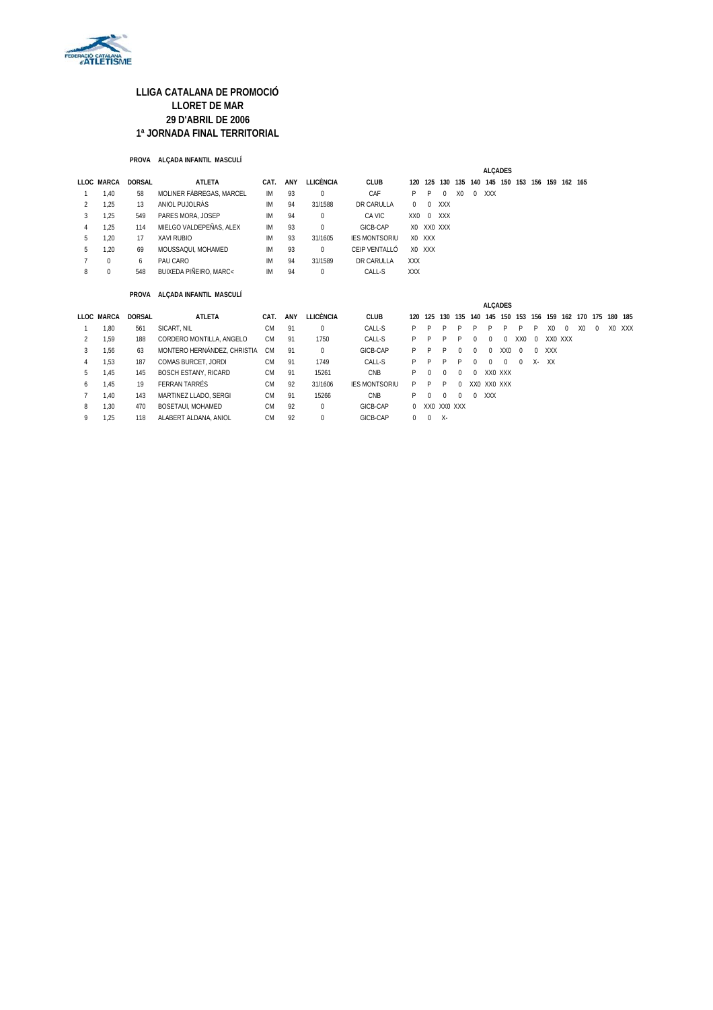

#### **PROVA ALÇADA INFANTIL MASCULÍ**

|                |             |               |                             |           |     |                  |                      |             |             |             |                |          | <b>ALCADES</b>                          |          |                 |          |                |          |                |          |         |        |
|----------------|-------------|---------------|-----------------------------|-----------|-----|------------------|----------------------|-------------|-------------|-------------|----------------|----------|-----------------------------------------|----------|-----------------|----------|----------------|----------|----------------|----------|---------|--------|
|                | LLOC MARCA  | <b>DORSAL</b> | <b>ATLETA</b>               | CAT.      | ANY | <b>LLICÈNCIA</b> | <b>CLUB</b>          | 120         | 125         |             |                |          | 130 135 140 145 150 153 156 159 162 165 |          |                 |          |                |          |                |          |         |        |
|                | 1,40        | 58            | MOLINER FÄBREGAS, MARCEL    | IM        | 93  | $\Omega$         | CAF                  | P           | P           | $\Omega$    | X <sub>0</sub> | $\Omega$ | <b>XXX</b>                              |          |                 |          |                |          |                |          |         |        |
| 2              | 1,25        | 13            | ANIOL PUJOLRÀS              | IM        | 94  | 31/1588          | DR CARULLA           | $\mathbf 0$ | $\mathbf 0$ | XXX         |                |          |                                         |          |                 |          |                |          |                |          |         |        |
| 3              | 1,25        | 549           | PARES MORA, JOSEP           | ΙM        | 94  | $\Omega$         | CA VIC               | XX0         | $\mathbf 0$ | XXX         |                |          |                                         |          |                 |          |                |          |                |          |         |        |
| 4              | 1.25        | 114           | MIELGO VALDEPEÑAS, ALEX     | <b>IM</b> | 93  | $\mathbf 0$      | GICB-CAP             |             | XO XXO XXX  |             |                |          |                                         |          |                 |          |                |          |                |          |         |        |
| 5              | 1.20        | 17            | <b>XAVI RUBIO</b>           | <b>IM</b> | 93  | 31/1605          | <b>IES MONTSORIU</b> |             | X0 XXX      |             |                |          |                                         |          |                 |          |                |          |                |          |         |        |
| 5              | 1.20        | 69            | MOUSSAQUI, MOHAMED          | <b>IM</b> | 93  | $\Omega$         | CEIP VENTALLÓ        |             | X0 XXX      |             |                |          |                                         |          |                 |          |                |          |                |          |         |        |
| $\overline{7}$ | $\mathbf 0$ | 6             | PAU CARO                    | <b>IM</b> | 94  | 31/1589          | DR CARULLA           | <b>XXX</b>  |             |             |                |          |                                         |          |                 |          |                |          |                |          |         |        |
| 8              | $\mathbf 0$ | 548           | BUIXEDA PIÑEIRO, MARC<      | <b>IM</b> | 94  | $\Omega$         | CALL-S               | <b>XXX</b>  |             |             |                |          |                                         |          |                 |          |                |          |                |          |         |        |
|                |             | PROVA         | ALÇADA INFANTIL MASCULÍ     |           |     |                  |                      |             |             |             |                |          |                                         |          |                 |          |                |          |                |          |         |        |
|                |             |               |                             |           |     |                  |                      |             |             |             |                |          | <b>ALCADES</b>                          |          |                 |          |                |          |                |          |         |        |
|                | LLOC MARCA  | <b>DORSAL</b> | <b>ATLETA</b>               | CAT.      | ANY | <b>LLICÈNCIA</b> | <b>CLUB</b>          | 120         | 125         | 130         |                |          | 135 140 145 150 153                     |          |                 |          | 156 159        |          | 162 170 175    |          | 180 185 |        |
|                | 1.80        | 561           | SICART, NIL                 | <b>CM</b> | 91  | 0                | CALL-S               | P           | P           | P           | P              |          | P                                       | P        | P               | P        | X <sub>0</sub> | $\Omega$ | X <sub>0</sub> | $\Omega$ |         | XO XXX |
| 2              | 1.59        | 188           | CORDERO MONTILLA, ANGELO    | <b>CM</b> | 91  | 1750             | CALL-S               | P           | P           | P           | P              | $\theta$ | $\Omega$                                | $\Omega$ | XX <sub>0</sub> | $\Omega$ |                | XX0 XXX  |                |          |         |        |
| 3              | 1.56        | 63            | MONTERO HERNÁNDEZ, CHRISTIA | <b>CM</b> | 91  | $\Omega$         | GICB-CAP             | P           | P           | P           |                | $\Omega$ | $\mathbf 0$                             | XX0      | $\Omega$        | $\Omega$ | <b>XXX</b>     |          |                |          |         |        |
| 4              | 1,53        | 187           | COMAS BURCET, JORDI         | <b>CM</b> | 91  | 1749             | CALL-S               | P           | P           | P           | P              | $\theta$ | $\Omega$                                | $\Omega$ | $\Omega$        | χ.       | XX             |          |                |          |         |        |
| 5              | 1,45        | 145           | <b>BOSCH ESTANY, RICARD</b> | <b>CM</b> | 91  | 15261            | CNB                  | P           | 0           | $\Omega$    | <sup>0</sup>   | $\Omega$ | XX0 XXX                                 |          |                 |          |                |          |                |          |         |        |
| 6              | 1.45        | 19            | FERRAN TARRÉS               | <b>CM</b> | 92  | 31/1606          | <b>IES MONTSORIU</b> | P           | P           | P           | 0              |          | XX0 XX0 XXX                             |          |                 |          |                |          |                |          |         |        |
| $\overline{7}$ | 1.40        | 143           | MARTINEZ LLADO, SERGI       | <b>CM</b> | 91  | 15266            | CNB                  | P           | 0           | $\Omega$    |                | $\Omega$ | <b>XXX</b>                              |          |                 |          |                |          |                |          |         |        |
| 8              | 1,30        | 470           | BOSETAUI, MOHAMED           | <b>CM</b> | 92  | $\mathbf 0$      | GICB-CAP             | 0           |             | XX0 XX0 XXX |                |          |                                         |          |                 |          |                |          |                |          |         |        |
| 9              | 1,25        | 118           | ALABERT ALDANA, ANIOL       | <b>CM</b> | 92  | $\mathbf 0$      | GICB-CAP             | 0           | $\mathbf 0$ | $X -$       |                |          |                                         |          |                 |          |                |          |                |          |         |        |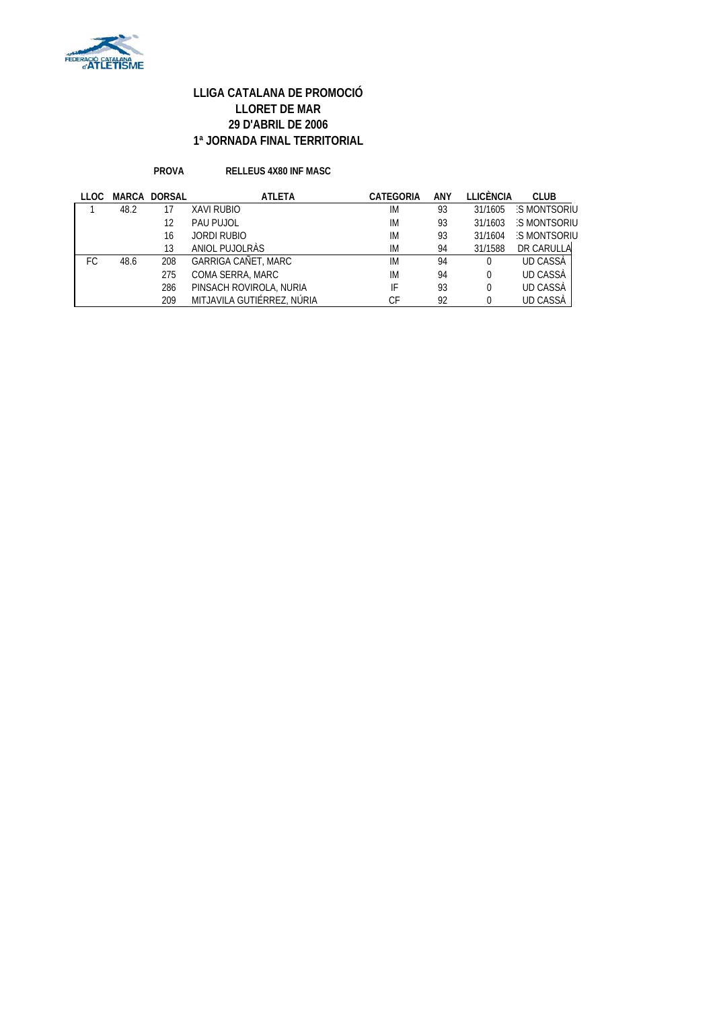

**PROVA RELLEUS 4X80 INF MASC**

| LLOC |      | <b>MARCA DORSAL</b> | <b>ATLETA</b>              | <b>CATEGORIA</b> | ANY | LLICÈNCIA | <b>CLUB</b>        |
|------|------|---------------------|----------------------------|------------------|-----|-----------|--------------------|
|      | 48.2 |                     | <b>XAVI RUBIO</b>          | IM               | 93  | 31/1605   | S MONTSORIU        |
|      |      | 12                  | PAU PUJOL                  | IM               | 93  | 31/1603   | <b>S MONTSORIU</b> |
|      |      | 16                  | <b>JORDI RUBIO</b>         | IM               | 93  | 31/1604   | <b>S MONTSORIU</b> |
|      |      | 13                  | ANIOL PUJOLRAS             | IM               | 94  | 31/1588   | DR CARULLA         |
| FC.  | 48.6 | 208                 | GARRIGA CAÑET, MARC        | IM               | 94  | 0         | UD CASSA           |
|      |      | 275                 | COMA SERRA, MARC           | IM               | 94  | $\Omega$  | UD CASSA           |
|      |      | 286                 | PINSACH ROVIROLA, NURIA    | IF               | 93  | $\Omega$  | <b>UD CASSÀ</b>    |
|      |      | 209                 | MITJAVILA GUTIÉRREZ, NÚRIA | СF               | 92  | 0         | <b>UD CASSA</b>    |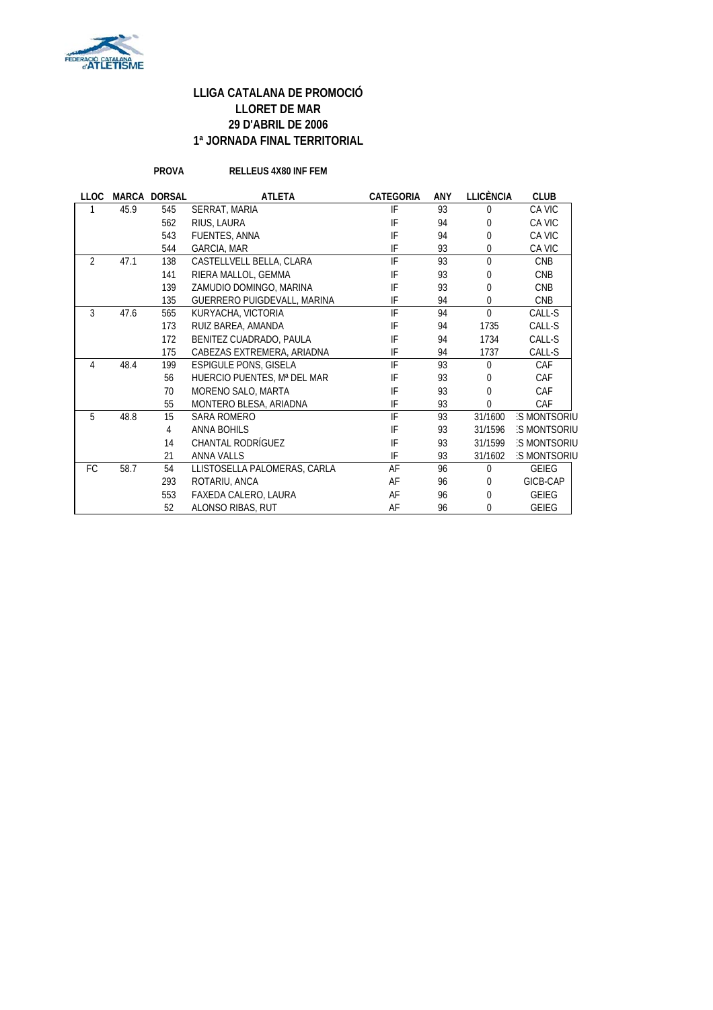

**PROVA RELLEUS 4X80 INF FEM**

| <b>LLOC</b>    |      | <b>MARCA DORSAL</b> | <b>ATLETA</b>                | <b>CATEGORIA</b> | ANY | <b>LLICÈNCIA</b> | <b>CLUB</b>        |
|----------------|------|---------------------|------------------------------|------------------|-----|------------------|--------------------|
|                | 45.9 | 545                 | SERRAT, MARIA                | IF               | 93  | $\Omega$         | CA VIC             |
|                |      | 562                 | RIUS, LAURA                  | IF               | 94  | 0                | CA VIC             |
|                |      | 543                 | FUENTES, ANNA                | IF               | 94  | $\theta$         | CA VIC             |
|                |      | 544                 | <b>GARCIA, MAR</b>           | IF               | 93  | $\mathbf{0}$     | CA VIC             |
| $\overline{2}$ | 47.1 | 138                 | CASTELLVELL BELLA, CLARA     | IF               | 93  | $\theta$         | <b>CNB</b>         |
|                |      | 141                 | RIERA MALLOL, GEMMA          | IF               | 93  | $\mathbf{0}$     | <b>CNB</b>         |
|                |      | 139                 | ZAMUDIO DOMINGO, MARINA      | IF               | 93  | $\mathbf{0}$     | <b>CNB</b>         |
|                |      | 135                 | GUERRERO PUIGDEVALL, MARINA  | IF               | 94  | $\mathbf{0}$     | <b>CNB</b>         |
| 3              | 47.6 | 565                 | KURYACHA, VICTORIA           | IF               | 94  | $\theta$         | CALL-S             |
|                |      | 173                 | RUIZ BAREA, AMANDA           | IF               | 94  | 1735             | CALL-S             |
|                |      | 172                 | BENITEZ CUADRADO, PAULA      | IF               | 94  | 1734             | CALL-S             |
|                |      | 175                 | CABEZAS EXTREMERA, ARIADNA   | IF               | 94  | 1737             | CALL-S             |
| 4              | 48.4 | 199                 | <b>ESPIGULE PONS, GISELA</b> | IF               | 93  | $\Omega$         | CAF                |
|                |      | 56                  | HUERCIO PUENTES, Mª DEL MAR  | IF               | 93  | $\mathbf{0}$     | CAF                |
|                |      | 70                  | MORENO SALO, MARTA           | IF               | 93  | $\theta$         | CAF                |
|                |      | 55                  | MONTERO BLESA, ARIADNA       | IF               | 93  | 0                | CAF                |
| 5              | 48.8 | 15                  | SARA ROMERO                  | IF               | 93  | 31/1600          | S MONTSORIU        |
|                |      | 4                   | <b>ANNA BOHILS</b>           | IF               | 93  | 31/1596          | <b>S MONTSORIU</b> |
|                |      | 14                  | CHANTAL RODRÍGUEZ            | IF               | 93  | 31/1599          | <b>S MONTSORIU</b> |
|                |      | 21                  | <b>ANNA VALLS</b>            | IF               | 93  | 31/1602          | <b>S MONTSORIU</b> |
| FC             | 58.7 | 54                  | LLISTOSELLA PALOMERAS, CARLA | AF               | 96  | $\Omega$         | <b>GEIEG</b>       |
|                |      | 293                 | ROTARIU, ANCA                | AF               | 96  | $\Omega$         | GICB-CAP           |
|                |      | 553                 | FAXEDA CALERO, LAURA         | AF               | 96  | $\theta$         | <b>GEIEG</b>       |
|                |      | 52                  | ALONSO RIBAS, RUT            | AF               | 96  | 0                | <b>GEIEG</b>       |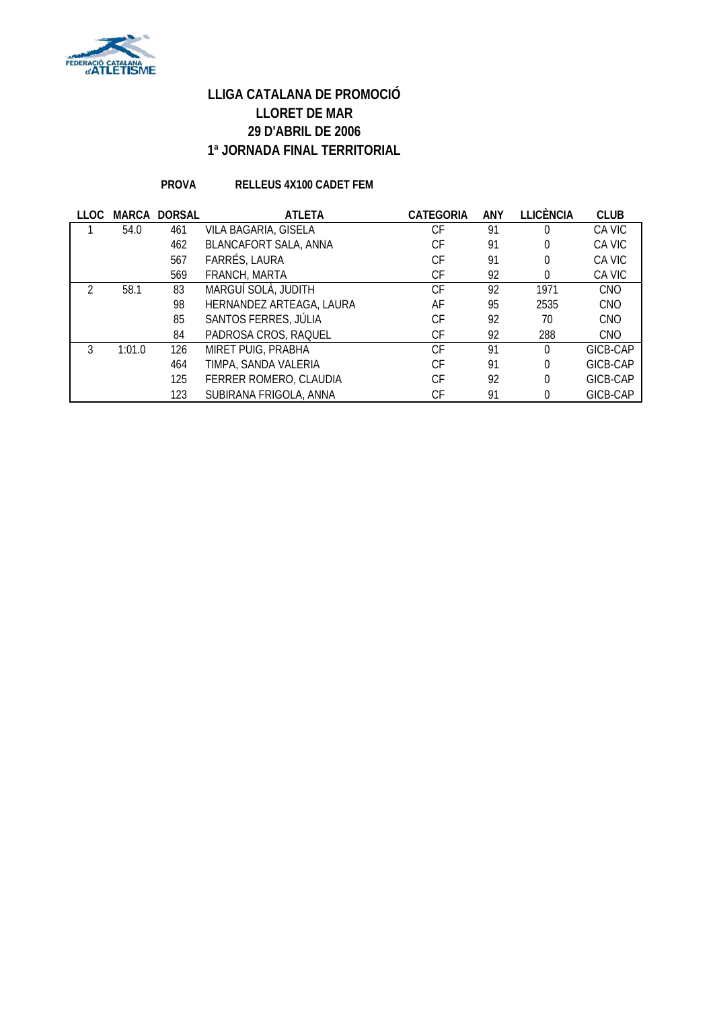

### **PROVA RELLEUS 4X100 CADET FEM**

| <b>LLOC</b> | MARCA  | <b>DORSAL</b> | <b>ATLETA</b>            | <b>CATEGORIA</b> | <b>ANY</b> | LLICÈNCIA | <b>CLUB</b> |
|-------------|--------|---------------|--------------------------|------------------|------------|-----------|-------------|
|             | 54.0   | 461           | VILA BAGARIA, GISELA     | СF               | 91         | 0         | CA VIC      |
|             |        | 462           | BLANCAFORT SALA, ANNA    | СF               | 91         | 0         | CA VIC      |
|             |        | 567           | FARRÉS, LAURA            | СF               | 91         | 0         | CA VIC      |
|             |        | 569           | FRANCH, MARTA            | СF               | 92         | 0         | CA VIC      |
|             | 58.1   | 83            | MARGUÍ SOLÀ, JUDITH      | СF               | 92         | 1971      | <b>CNO</b>  |
|             |        | 98            | HERNANDEZ ARTEAGA, LAURA | AF               | 95         | 2535      | <b>CNO</b>  |
|             |        | 85            | SANTOS FERRES, JÚLIA     | СF               | 92         | 70        | <b>CNO</b>  |
|             |        | 84            | PADROSA CROS, RAQUEL     | СF               | 92         | 288       | <b>CNO</b>  |
|             | 1:01.0 | 126           | MIRET PUIG, PRABHA       | СF               | 91         | $\Omega$  | GICB-CAP    |
|             |        | 464           | TIMPA, SANDA VALERIA     | СF               | 91         | 0         | GICB-CAP    |
|             |        | 125           | FERRER ROMERO, CLAUDIA   | СF               | 92         | 0         | GICB-CAP    |
|             |        | 123           | SUBIRANA FRIGOLA, ANNA   | СF               | 91         | 0         | GICB-CAP    |